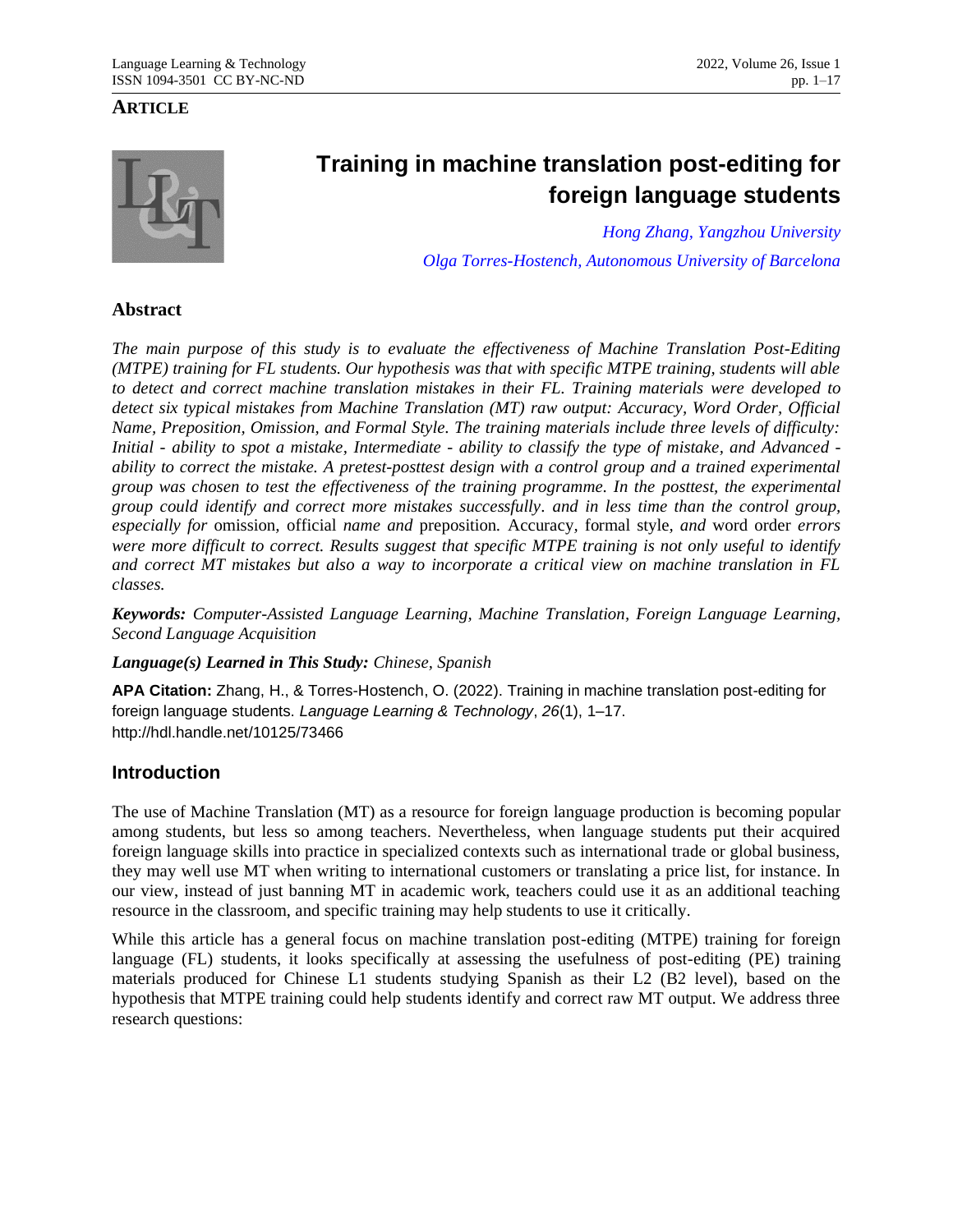## **ARTICLE**



# **Training in machine translation post-editing for foreign language students**

*[Hong Zhang,](mailto:zhhong@126.com?subject=Hong%20Zhang) [Yangzhou University](http://www.yzu.edu.cn/) [Olga Torres-Hostench,](mailto:olga.torres.hostench@uab.cat) [Autonomous University of Barcelona](http://www.uab.es/)*

## **Abstract**

*The main purpose of this study is to evaluate the effectiveness of Machine Translation Post-Editing (MTPE) training for FL students. Our hypothesis was that with specific MTPE training, students will able to detect and correct machine translation mistakes in their FL. Training materials were developed to detect six typical mistakes from Machine Translation (MT) raw output: Accuracy, Word Order, Official Name, Preposition, Omission, and Formal Style. The training materials include three levels of difficulty: Initial - ability to spot a mistake, Intermediate - ability to classify the type of mistake, and Advanced ability to correct the mistake. A pretest-posttest design with a control group and a trained experimental group was chosen to test the effectiveness of the training programme. In the posttest, the experimental group could identify and correct more mistakes successfully. and in less time than the control group, especially for* omission*,* official *name and* preposition*.* Accuracy*,* formal style*, and* word order *errors were more difficult to correct. Results suggest that specific MTPE training is not only useful to identify and correct MT mistakes but also a way to incorporate a critical view on machine translation in FL classes.*

*Keywords: Computer-Assisted Language Learning, Machine Translation, Foreign Language Learning, Second Language Acquisition*

*Language(s) Learned in This Study: Chinese, Spanish*

**APA Citation:** Zhang, H., & Torres-Hostench, O. (2022). Training in machine translation post-editing for foreign language students. *Language Learning & Technology*, *26*(1), 1–17. http://hdl.handle.net/10125/73466

## **Introduction**

The use of Machine Translation (MT) as a resource for foreign language production is becoming popular among students, but less so among teachers. Nevertheless, when language students put their acquired foreign language skills into practice in specialized contexts such as international trade or global business, they may well use MT when writing to international customers or translating a price list, for instance. In our view, instead of just banning MT in academic work, teachers could use it as an additional teaching resource in the classroom, and specific training may help students to use it critically.

While this article has a general focus on machine translation post-editing (MTPE) training for foreign language (FL) students, it looks specifically at assessing the usefulness of post-editing (PE) training materials produced for Chinese L1 students studying Spanish as their L2 (B2 level), based on the hypothesis that MTPE training could help students identify and correct raw MT output. We address three research questions: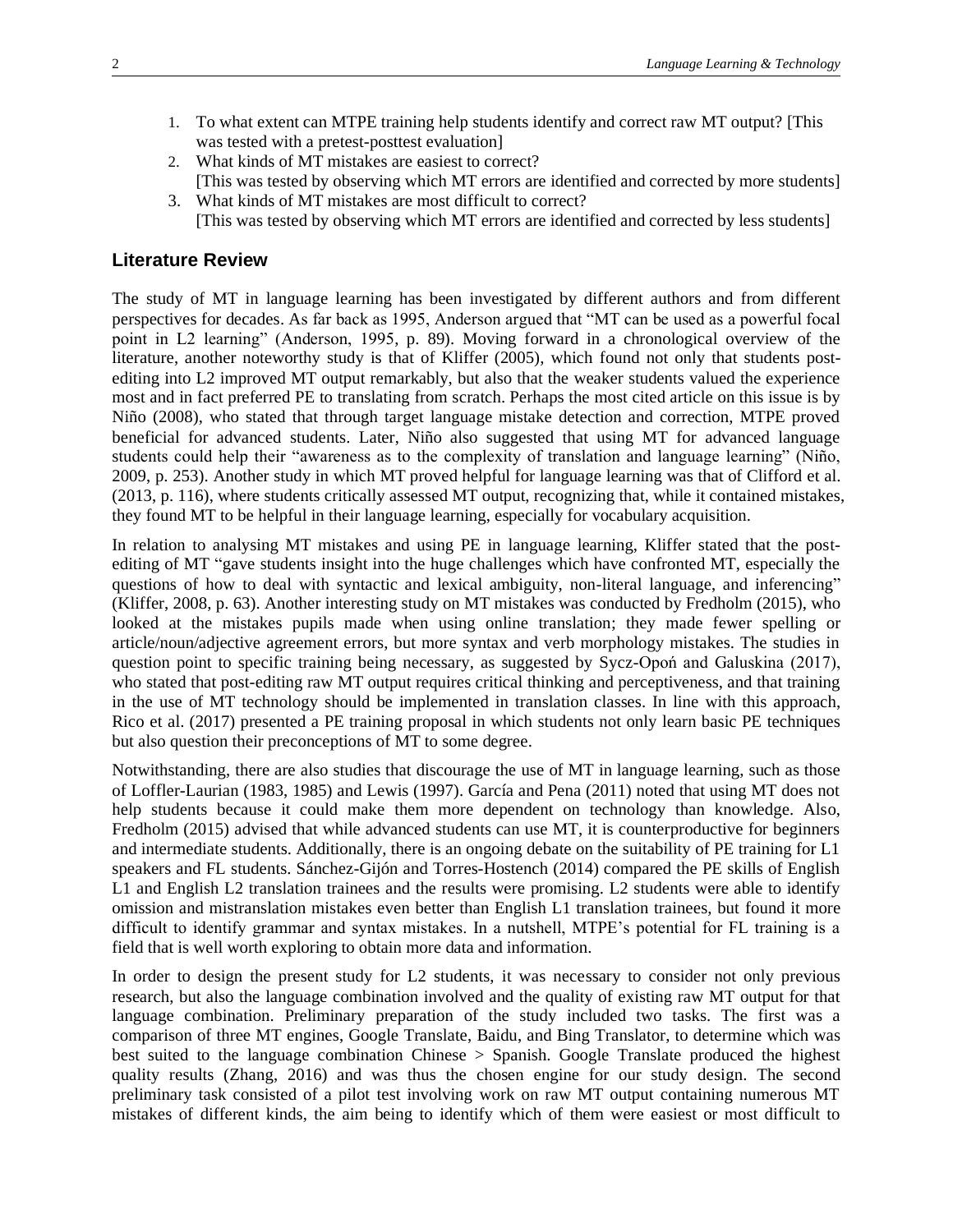- 1. To what extent can MTPE training help students identify and correct raw MT output? [This was tested with a pretest-posttest evaluation]
- 2. What kinds of MT mistakes are easiest to correct? [This was tested by observing which MT errors are identified and corrected by more students]
- 3. What kinds of MT mistakes are most difficult to correct? [This was tested by observing which MT errors are identified and corrected by less students]

#### **Literature Review**

The study of MT in language learning has been investigated by different authors and from different perspectives for decades. As far back as 1995, Anderson argued that "MT can be used as a powerful focal point in L2 learning" (Anderson, 1995, p. 89). Moving forward in a chronological overview of the literature, another noteworthy study is that of Kliffer (2005), which found not only that students postediting into L2 improved MT output remarkably, but also that the weaker students valued the experience most and in fact preferred PE to translating from scratch. Perhaps the most cited article on this issue is by Niño (2008), who stated that through target language mistake detection and correction, MTPE proved beneficial for advanced students. Later, Niño also suggested that using MT for advanced language students could help their "awareness as to the complexity of translation and language learning" (Niño, 2009, p. 253). Another study in which MT proved helpful for language learning was that of Clifford et al. (2013, p. 116), where students critically assessed MT output, recognizing that, while it contained mistakes, they found MT to be helpful in their language learning, especially for vocabulary acquisition.

In relation to analysing MT mistakes and using PE in language learning, Kliffer stated that the postediting of MT "gave students insight into the huge challenges which have confronted MT, especially the questions of how to deal with syntactic and lexical ambiguity, non-literal language, and inferencing" (Kliffer, 2008, p. 63). Another interesting study on MT mistakes was conducted by Fredholm (2015), who looked at the mistakes pupils made when using online translation; they made fewer spelling or article/noun/adjective agreement errors, but more syntax and verb morphology mistakes. The studies in question point to specific training being necessary, as suggested by Sycz-Opoń and Galuskina (2017), who stated that post-editing raw MT output requires critical thinking and perceptiveness, and that training in the use of MT technology should be implemented in translation classes. In line with this approach, Rico et al. (2017) presented a PE training proposal in which students not only learn basic PE techniques but also question their preconceptions of MT to some degree.

Notwithstanding, there are also studies that discourage the use of MT in language learning, such as those of Loffler-Laurian (1983, 1985) and Lewis (1997). García and Pena (2011) noted that using MT does not help students because it could make them more dependent on technology than knowledge. Also, Fredholm (2015) advised that while advanced students can use MT, it is counterproductive for beginners and intermediate students. Additionally, there is an ongoing debate on the suitability of PE training for L1 speakers and FL students. Sánchez-Gijón and Torres-Hostench (2014) compared the PE skills of English L1 and English L2 translation trainees and the results were promising. L2 students were able to identify omission and mistranslation mistakes even better than English L1 translation trainees, but found it more difficult to identify grammar and syntax mistakes. In a nutshell, MTPE's potential for FL training is a field that is well worth exploring to obtain more data and information.

In order to design the present study for L2 students, it was necessary to consider not only previous research, but also the language combination involved and the quality of existing raw MT output for that language combination. Preliminary preparation of the study included two tasks. The first was a comparison of three MT engines, Google Translate, Baidu, and Bing Translator, to determine which was best suited to the language combination Chinese > Spanish. Google Translate produced the highest quality results (Zhang, 2016) and was thus the chosen engine for our study design. The second preliminary task consisted of a pilot test involving work on raw MT output containing numerous MT mistakes of different kinds, the aim being to identify which of them were easiest or most difficult to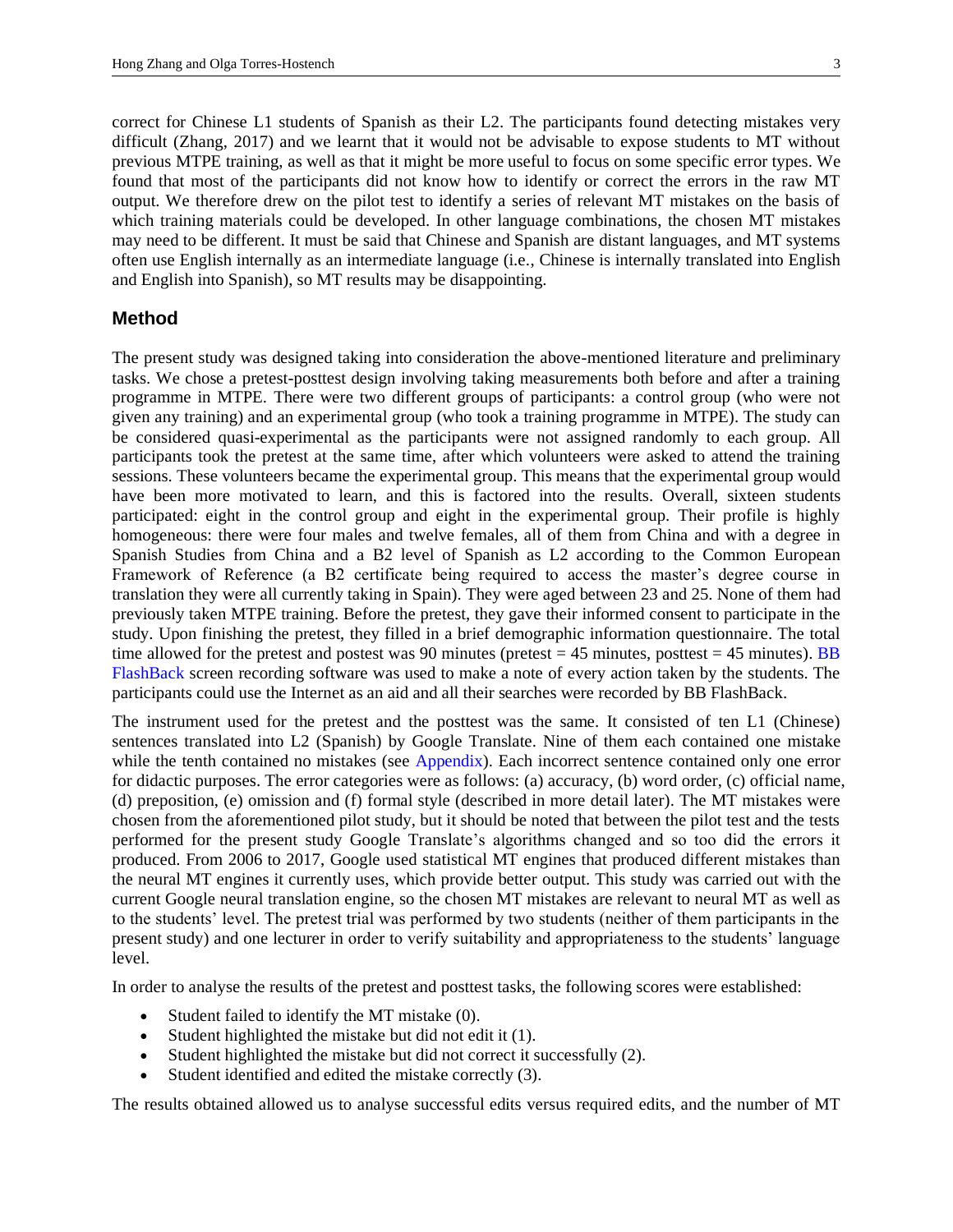correct for Chinese L1 students of Spanish as their L2. The participants found detecting mistakes very difficult (Zhang, 2017) and we learnt that it would not be advisable to expose students to MT without previous MTPE training, as well as that it might be more useful to focus on some specific error types. We found that most of the participants did not know how to identify or correct the errors in the raw MT output. We therefore drew on the pilot test to identify a series of relevant MT mistakes on the basis of which training materials could be developed. In other language combinations, the chosen MT mistakes may need to be different. It must be said that Chinese and Spanish are distant languages, and MT systems often use English internally as an intermediate language (i.e., Chinese is internally translated into English and English into Spanish), so MT results may be disappointing.

## **Method**

The present study was designed taking into consideration the above-mentioned literature and preliminary tasks. We chose a pretest-posttest design involving taking measurements both before and after a training programme in MTPE. There were two different groups of participants: a control group (who were not given any training) and an experimental group (who took a training programme in MTPE). The study can be considered quasi-experimental as the participants were not assigned randomly to each group. All participants took the pretest at the same time, after which volunteers were asked to attend the training sessions. These volunteers became the experimental group. This means that the experimental group would have been more motivated to learn, and this is factored into the results. Overall, sixteen students participated: eight in the control group and eight in the experimental group. Their profile is highly homogeneous: there were four males and twelve females, all of them from China and with a degree in Spanish Studies from China and a B2 level of Spanish as L2 according to the Common European Framework of Reference (a B2 certificate being required to access the master's degree course in translation they were all currently taking in Spain). They were aged between 23 and 25. None of them had previously taken MTPE training. Before the pretest, they gave their informed consent to participate in the study. Upon finishing the pretest, they filled in a brief demographic information questionnaire. The total time allowed for the pretest and postest was 90 minutes (pretest  $= 45$  minutes, posttest  $= 45$  minutes). BB [FlashBack](https://www.flashbackrecorder.com/) screen recording software was used to make a note of every action taken by the students. The participants could use the Internet as an aid and all their searches were recorded by BB FlashBack.

<span id="page-2-0"></span>The instrument used for the pretest and the posttest was the same. It consisted of ten L1 (Chinese) sentences translated into L2 (Spanish) by Google Translate. Nine of them each contained one mistake while the tenth contained no mistakes (see [Appendix\)](#page-14-0). Each incorrect sentence contained only one error for didactic purposes. The error categories were as follows: (a) accuracy, (b) word order, (c) official name, (d) preposition, (e) omission and (f) formal style (described in more detail later). The MT mistakes were chosen from the aforementioned pilot study, but it should be noted that between the pilot test and the tests performed for the present study Google Translate's algorithms changed and so too did the errors it produced. From 2006 to 2017, Google used statistical MT engines that produced different mistakes than the neural MT engines it currently uses, which provide better output. This study was carried out with the current Google neural translation engine, so the chosen MT mistakes are relevant to neural MT as well as to the students' level. The pretest trial was performed by two students (neither of them participants in the present study) and one lecturer in order to verify suitability and appropriateness to the students' language level.

In order to analyse the results of the pretest and posttest tasks, the following scores were established:

- Student failed to identify the MT mistake (0).
- Student highlighted the mistake but did not edit it (1).
- Student highlighted the mistake but did not correct it successfully (2).
- Student identified and edited the mistake correctly (3).

The results obtained allowed us to analyse successful edits versus required edits, and the number of MT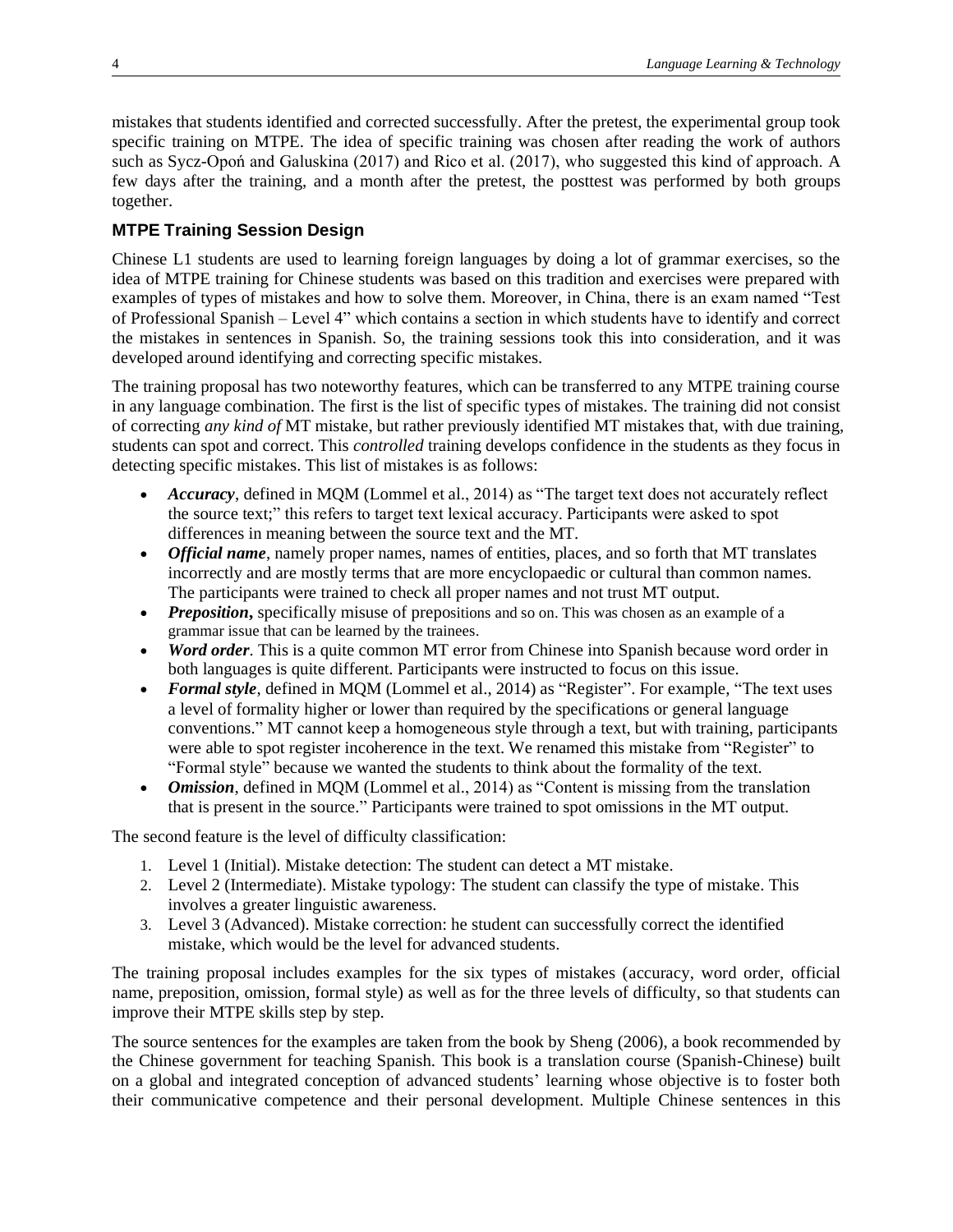mistakes that students identified and corrected successfully. After the pretest, the experimental group took specific training on MTPE. The idea of specific training was chosen after reading the work of authors such as Sycz-Opoń and Galuskina (2017) and Rico et al. (2017), who suggested this kind of approach. A few days after the training, and a month after the pretest, the posttest was performed by both groups together.

# **MTPE Training Session Design**

Chinese L1 students are used to learning foreign languages by doing a lot of grammar exercises, so the idea of MTPE training for Chinese students was based on this tradition and exercises were prepared with examples of types of mistakes and how to solve them. Moreover, in China, there is an exam named "Test of Professional Spanish – Level 4" which contains a section in which students have to identify and correct the mistakes in sentences in Spanish. So, the training sessions took this into consideration, and it was developed around identifying and correcting specific mistakes.

The training proposal has two noteworthy features, which can be transferred to any MTPE training course in any language combination. The first is the list of specific types of mistakes. The training did not consist of correcting *any kind of* MT mistake, but rather previously identified MT mistakes that, with due training, students can spot and correct. This *controlled* training develops confidence in the students as they focus in detecting specific mistakes. This list of mistakes is as follows:

- *Accuracy*, defined in MQM (Lommel et al., 2014) as "The target text does not accurately reflect the source text;" this refers to target text lexical accuracy. Participants were asked to spot differences in meaning between the source text and the MT.
- *Official name*, namely proper names, names of entities, places, and so forth that MT translates incorrectly and are mostly terms that are more encyclopaedic or cultural than common names. The participants were trained to check all proper names and not trust MT output.
- *Preposition*, specifically misuse of prepositions and so on. This was chosen as an example of a grammar issue that can be learned by the trainees.
- *Word order*. This is a quite common MT error from Chinese into Spanish because word order in both languages is quite different. Participants were instructed to focus on this issue.
- *Formal style*, defined in MQM (Lommel et al., 2014) as "Register". For example, "The text uses a level of formality higher or lower than required by the specifications or general language conventions." MT cannot keep a homogeneous style through a text, but with training, participants were able to spot register incoherence in the text. We renamed this mistake from "Register" to "Formal style" because we wanted the students to think about the formality of the text.
- *Omission*, defined in MQM (Lommel et al., 2014) as "Content is missing from the translation that is present in the source." Participants were trained to spot omissions in the MT output.

The second feature is the level of difficulty classification:

- 1. Level 1 (Initial). Mistake detection: The student can detect a MT mistake.
- 2. Level 2 (Intermediate). Mistake typology: The student can classify the type of mistake. This involves a greater linguistic awareness.
- 3. Level 3 (Advanced). Mistake correction: he student can successfully correct the identified mistake, which would be the level for advanced students.

The training proposal includes examples for the six types of mistakes (accuracy, word order, official name, preposition, omission, formal style) as well as for the three levels of difficulty, so that students can improve their MTPE skills step by step.

The source sentences for the examples are taken from the book by Sheng (2006), a book recommended by the Chinese government for teaching Spanish. This book is a translation course (Spanish-Chinese) built on a global and integrated conception of advanced students' learning whose objective is to foster both their communicative competence and their personal development. Multiple Chinese sentences in this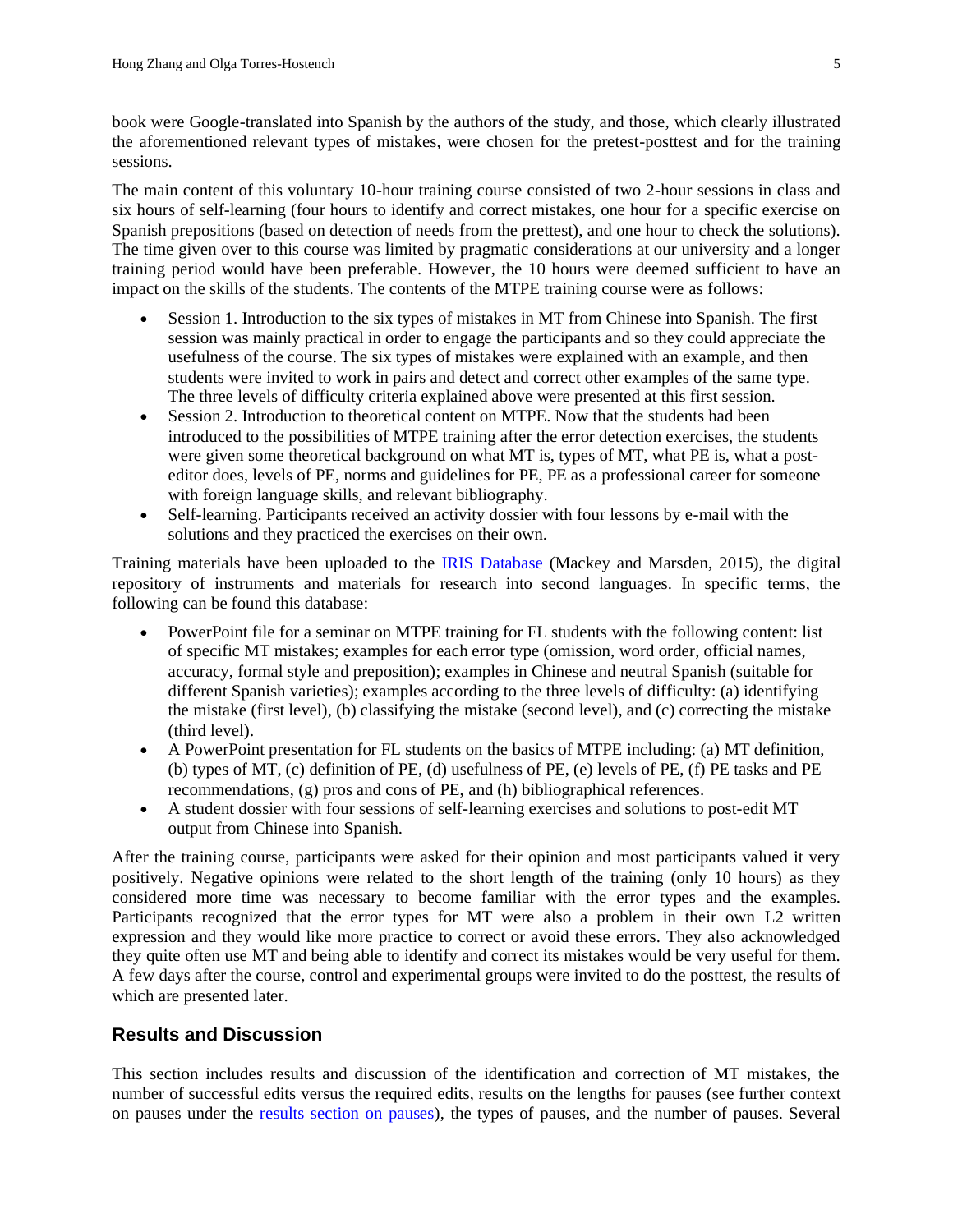book were Google-translated into Spanish by the authors of the study, and those, which clearly illustrated the aforementioned relevant types of mistakes, were chosen for the pretest-posttest and for the training sessions.

The main content of this voluntary 10-hour training course consisted of two 2-hour sessions in class and six hours of self-learning (four hours to identify and correct mistakes, one hour for a specific exercise on Spanish prepositions (based on detection of needs from the prettest), and one hour to check the solutions). The time given over to this course was limited by pragmatic considerations at our university and a longer training period would have been preferable. However, the 10 hours were deemed sufficient to have an impact on the skills of the students. The contents of the MTPE training course were as follows:

- Session 1. Introduction to the six types of mistakes in MT from Chinese into Spanish. The first session was mainly practical in order to engage the participants and so they could appreciate the usefulness of the course. The six types of mistakes were explained with an example, and then students were invited to work in pairs and detect and correct other examples of the same type. The three levels of difficulty criteria explained above were presented at this first session.
- Session 2. Introduction to theoretical content on MTPE. Now that the students had been introduced to the possibilities of MTPE training after the error detection exercises, the students were given some theoretical background on what MT is, types of MT, what PE is, what a posteditor does, levels of PE, norms and guidelines for PE, PE as a professional career for someone with foreign language skills, and relevant bibliography.
- Self-learning. Participants received an activity dossier with four lessons by e-mail with the solutions and they practiced the exercises on their own.

Training materials have been uploaded to the [IRIS Database](https://www.iris-database.org/) (Mackey and Marsden, 2015), the digital repository of instruments and materials for research into second languages. In specific terms, the following can be found this database:

- PowerPoint file for a seminar on MTPE training for FL students with the following content: list of specific MT mistakes; examples for each error type (omission, word order, official names, accuracy, formal style and preposition); examples in Chinese and neutral Spanish (suitable for different Spanish varieties); examples according to the three levels of difficulty: (a) identifying the mistake (first level), (b) classifying the mistake (second level), and (c) correcting the mistake (third level).
- A PowerPoint presentation for FL students on the basics of MTPE including: (a) MT definition, (b) types of MT, (c) definition of PE, (d) usefulness of PE, (e) levels of PE, (f) PE tasks and PE recommendations, (g) pros and cons of PE, and (h) bibliographical references.
- A student dossier with four sessions of self-learning exercises and solutions to post-edit MT output from Chinese into Spanish.

After the training course, participants were asked for their opinion and most participants valued it very positively. Negative opinions were related to the short length of the training (only 10 hours) as they considered more time was necessary to become familiar with the error types and the examples. Participants recognized that the error types for MT were also a problem in their own L2 written expression and they would like more practice to correct or avoid these errors. They also acknowledged they quite often use MT and being able to identify and correct its mistakes would be very useful for them. A few days after the course, control and experimental groups were invited to do the posttest, the results of which are presented later.

# **Results and Discussion**

This section includes results and discussion of the identification and correction of MT mistakes, the number of successful edits versus the required edits, results on the lengths for pauses (see further context on pauses under the [results section on pauses\)](#page-9-0), the types of pauses, and the number of pauses. Several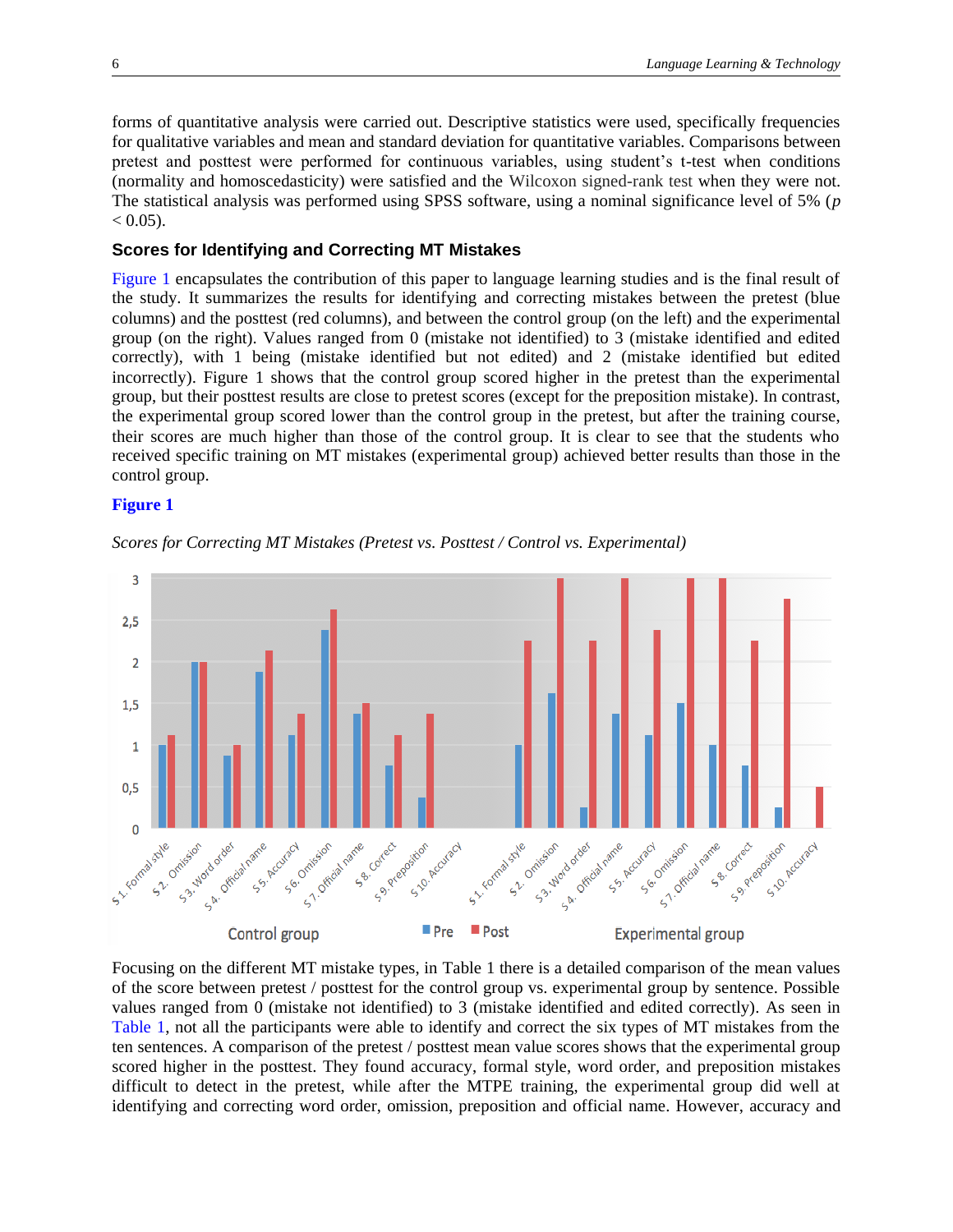forms of quantitative analysis were carried out. Descriptive statistics were used, specifically frequencies for qualitative variables and mean and standard deviation for quantitative variables. Comparisons between pretest and posttest were performed for continuous variables, using student's t-test when conditions (normality and homoscedasticity) were satisfied and the Wilcoxon signed-rank test when they were not. The statistical analysis was performed using SPSS software, using a nominal significance level of 5% (*p*  $< 0.05$ ).

#### **Scores for Identifying and Correcting MT Mistakes**

<span id="page-5-1"></span>[Figure](#page-5-0) 1 encapsulates the contribution of this paper to language learning studies and is the final result of the study. It summarizes the results for identifying and correcting mistakes between the pretest (blue columns) and the posttest (red columns), and between the control group (on the left) and the experimental group (on the right). Values ranged from 0 (mistake not identified) to 3 (mistake identified and edited correctly), with 1 being (mistake identified but not edited) and 2 (mistake identified but edited incorrectly). [Figure](#page-5-0) 1 shows that the control group scored higher in the pretest than the experimental group, but their posttest results are close to pretest scores (except for the preposition mistake). In contrast, the experimental group scored lower than the control group in the pretest, but after the training course, their scores are much higher than those of the control group. It is clear to see that the students who received specific training on MT mistakes (experimental group) achieved better results than those in the control group.

#### <span id="page-5-0"></span>**[Figure 1](#page-5-1)**



*Scores for Correcting MT Mistakes (Pretest vs. Posttest / Control vs. Experimental)*

<span id="page-5-2"></span>Focusing on the different MT mistake types, in [Table](#page-6-0) 1 there is a detailed comparison of the mean values of the score between pretest / posttest for the control group vs. experimental group by sentence. Possible values ranged from 0 (mistake not identified) to 3 (mistake identified and edited correctly). As seen in [Table](#page-6-0) 1, not all the participants were able to identify and correct the six types of MT mistakes from the ten sentences. A comparison of the pretest / posttest mean value scores shows that the experimental group scored higher in the posttest. They found accuracy, formal style, word order, and preposition mistakes difficult to detect in the pretest, while after the MTPE training, the experimental group did well at identifying and correcting word order, omission, preposition and official name. However, accuracy and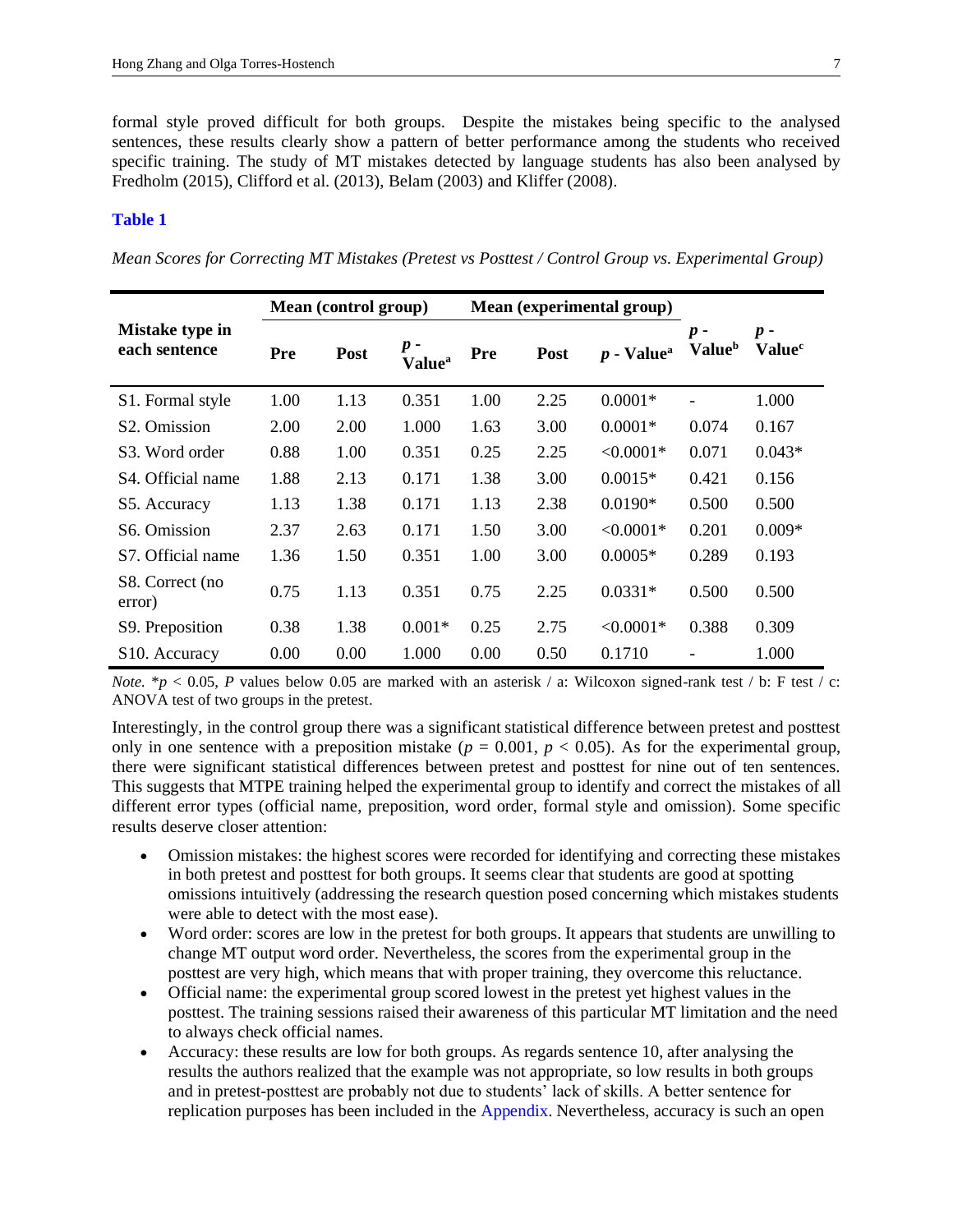formal style proved difficult for both groups. Despite the mistakes being specific to the analysed sentences, these results clearly show a pattern of better performance among the students who received specific training. The study of MT mistakes detected by language students has also been analysed by Fredholm (2015), Clifford et al. (2013), Belam (2003) and Kliffer (2008).

#### <span id="page-6-0"></span>**[Table](#page-5-2) 1**

*Mean Scores for Correcting MT Mistakes (Pretest vs Posttest / Control Group vs. Experimental Group)*

|                                  | Mean (control group) |             |                                    | Mean (experimental group) |      |                          |                                    |                                      |
|----------------------------------|----------------------|-------------|------------------------------------|---------------------------|------|--------------------------|------------------------------------|--------------------------------------|
| Mistake type in<br>each sentence | Pre                  | <b>Post</b> | $p -$<br><b>Value</b> <sup>a</sup> | Pre                       | Post | $p$ - Value <sup>a</sup> | $p -$<br><b>Value</b> <sup>b</sup> | $p -$<br>$\mathbf{Value}^\mathsf{c}$ |
| S1. Formal style                 | 1.00                 | 1.13        | 0.351                              | 1.00                      | 2.25 | $0.0001*$                |                                    | 1.000                                |
| S <sub>2</sub> . Omission        | 2.00                 | 2.00        | 1.000                              | 1.63                      | 3.00 | $0.0001*$                | 0.074                              | 0.167                                |
| S3. Word order                   | 0.88                 | 1.00        | 0.351                              | 0.25                      | 2.25 | $< 0.0001*$              | 0.071                              | $0.043*$                             |
| S4. Official name                | 1.88                 | 2.13        | 0.171                              | 1.38                      | 3.00 | $0.0015*$                | 0.421                              | 0.156                                |
| S5. Accuracy                     | 1.13                 | 1.38        | 0.171                              | 1.13                      | 2.38 | $0.0190*$                | 0.500                              | 0.500                                |
| S <sub>6</sub> . Omission        | 2.37                 | 2.63        | 0.171                              | 1.50                      | 3.00 | $< 0.0001*$              | 0.201                              | $0.009*$                             |
| S7. Official name                | 1.36                 | 1.50        | 0.351                              | 1.00                      | 3.00 | $0.0005*$                | 0.289                              | 0.193                                |
| S8. Correct (no<br>error)        | 0.75                 | 1.13        | 0.351                              | 0.75                      | 2.25 | $0.0331*$                | 0.500                              | 0.500                                |
| S9. Preposition                  | 0.38                 | 1.38        | $0.001*$                           | 0.25                      | 2.75 | $< 0.0001*$              | 0.388                              | 0.309                                |
| S <sub>10</sub> . Accuracy       | 0.00                 | 0.00        | 1.000                              | 0.00                      | 0.50 | 0.1710                   |                                    | 1.000                                |

*Note.*  $* p < 0.05$ , *P* values below 0.05 are marked with an asterisk / a: Wilcoxon signed-rank test / b: F test / c: ANOVA test of two groups in the pretest.

Interestingly, in the control group there was a significant statistical difference between pretest and posttest only in one sentence with a preposition mistake ( $p = 0.001$ ,  $p < 0.05$ ). As for the experimental group, there were significant statistical differences between pretest and posttest for nine out of ten sentences. This suggests that MTPE training helped the experimental group to identify and correct the mistakes of all different error types (official name, preposition, word order, formal style and omission). Some specific results deserve closer attention:

- Omission mistakes: the highest scores were recorded for identifying and correcting these mistakes in both pretest and posttest for both groups. It seems clear that students are good at spotting omissions intuitively (addressing the research question posed concerning which mistakes students were able to detect with the most ease).
- Word order: scores are low in the pretest for both groups. It appears that students are unwilling to change MT output word order. Nevertheless, the scores from the experimental group in the posttest are very high, which means that with proper training, they overcome this reluctance.
- Official name: the experimental group scored lowest in the pretest yet highest values in the posttest. The training sessions raised their awareness of this particular MT limitation and the need to always check official names.
- Accuracy: these results are low for both groups. As regards sentence 10, after analysing the results the authors realized that the example was not appropriate, so low results in both groups and in pretest-posttest are probably not due to students' lack of skills. A better sentence for replication purposes has been included in th[e Appendix.](#page-14-0) Nevertheless, accuracy is such an open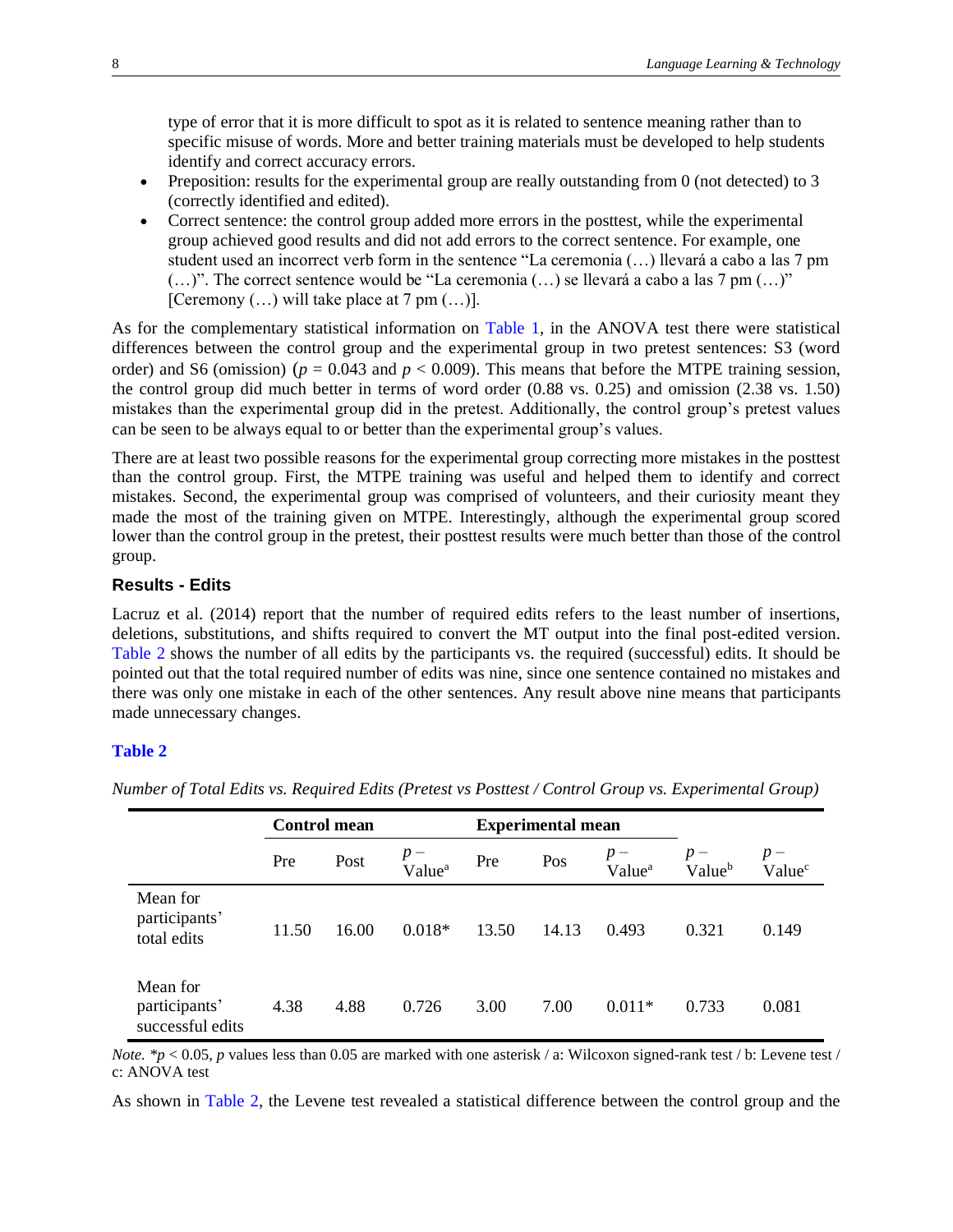type of error that it is more difficult to spot as it is related to sentence meaning rather than to specific misuse of words. More and better training materials must be developed to help students identify and correct accuracy errors.

- Preposition: results for the experimental group are really outstanding from  $0$  (not detected) to 3 (correctly identified and edited).
- Correct sentence: the control group added more errors in the posttest, while the experimental group achieved good results and did not add errors to the correct sentence. For example, one student used an incorrect verb form in the sentence "La ceremonia (…) llevará a cabo a las 7 pm (…)". The correct sentence would be "La ceremonia (…) se llevará a cabo a las 7 pm (…)" [Ceremony  $(...)$  will take place at 7 pm  $(...)$ ].

As for the complementary statistical information on [Table](#page-6-0) 1, in the ANOVA test there were statistical differences between the control group and the experimental group in two pretest sentences: S3 (word order) and S6 (omission) ( $p = 0.043$  and  $p < 0.009$ ). This means that before the MTPE training session, the control group did much better in terms of word order (0.88 vs. 0.25) and omission (2.38 vs. 1.50) mistakes than the experimental group did in the pretest. Additionally, the control group's pretest values can be seen to be always equal to or better than the experimental group's values.

There are at least two possible reasons for the experimental group correcting more mistakes in the posttest than the control group. First, the MTPE training was useful and helped them to identify and correct mistakes. Second, the experimental group was comprised of volunteers, and their curiosity meant they made the most of the training given on MTPE. Interestingly, although the experimental group scored lower than the control group in the pretest, their posttest results were much better than those of the control group.

### **Results - Edits**

<span id="page-7-1"></span>Lacruz et al. (2014) report that the number of required edits refers to the least number of insertions, deletions, substitutions, and shifts required to convert the MT output into the final post-edited version. [Table](#page-7-0) 2 shows the number of all edits by the participants vs. the required (successful) edits. It should be pointed out that the total required number of edits was nine, since one sentence contained no mistakes and there was only one mistake in each of the other sentences. Any result above nine means that participants made unnecessary changes.

#### <span id="page-7-0"></span>**[Table](#page-7-1) 2**

|                                               | <b>Control mean</b> |       |                             | <b>Experimental mean</b> |       |                             |                            |                             |
|-----------------------------------------------|---------------------|-------|-----------------------------|--------------------------|-------|-----------------------------|----------------------------|-----------------------------|
|                                               | Pre                 | Post  | $p -$<br>Value <sup>a</sup> | Pre                      | Pos   | $p -$<br>Value <sup>a</sup> | $p-$<br>Value <sup>b</sup> | $p -$<br>Value <sup>c</sup> |
| Mean for<br>participants'<br>total edits      | 11.50               | 16.00 | $0.018*$                    | 13.50                    | 14.13 | 0.493                       | 0.321                      | 0.149                       |
| Mean for<br>participants'<br>successful edits | 4.38                | 4.88  | 0.726                       | 3.00                     | 7.00  | $0.011*$                    | 0.733                      | 0.081                       |

*Number of Total Edits vs. Required Edits (Pretest vs Posttest / Control Group vs. Experimental Group)*

*Note.* \*p < 0.05, p values less than 0.05 are marked with one asterisk / a: Wilcoxon signed-rank test / b: Levene test / c: ANOVA test

As shown in [Table](#page-7-0) 2, the Levene test revealed a statistical difference between the control group and the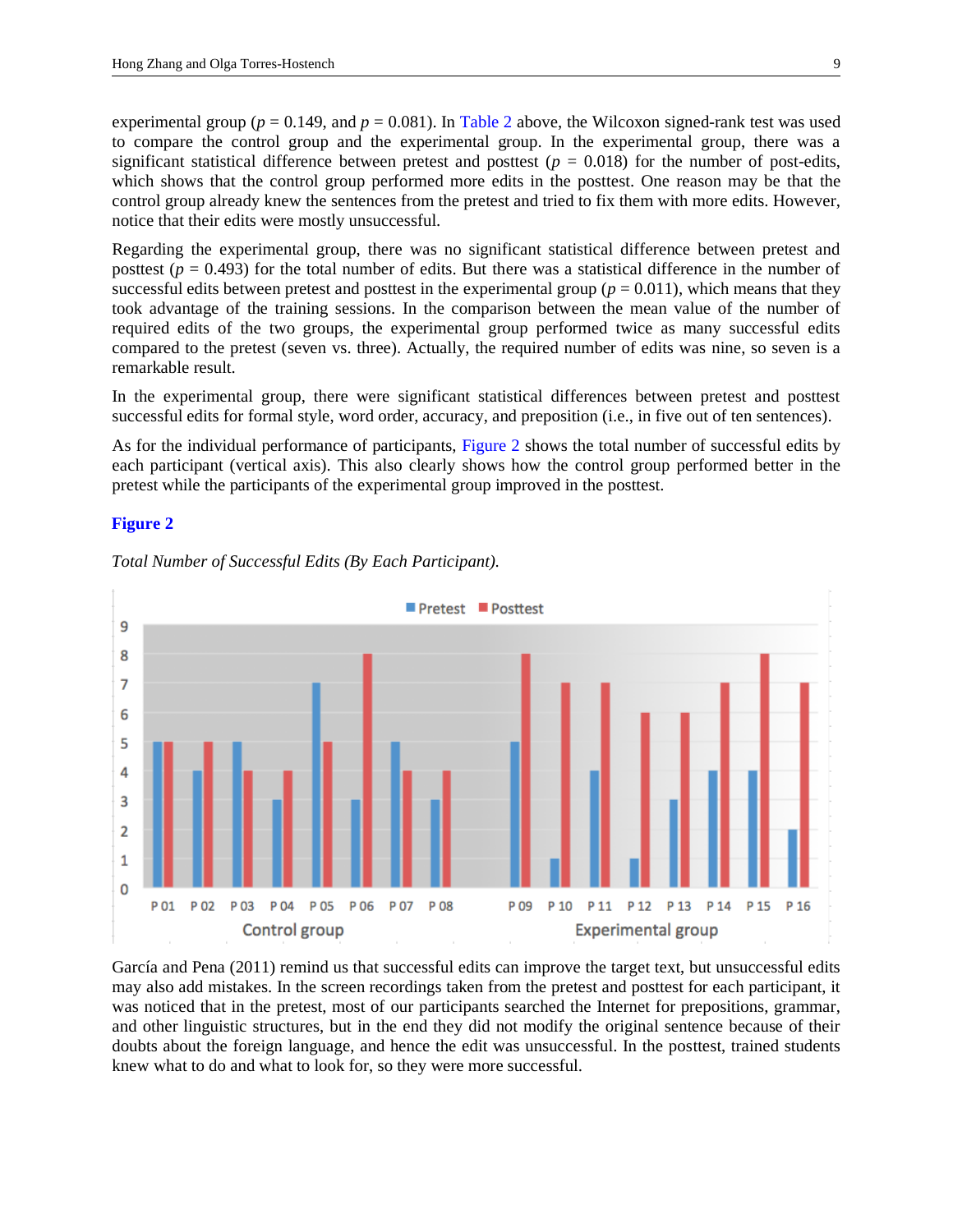experimental group ( $p = 0.149$ , and  $p = 0.081$ ). In [Table](#page-7-0) 2 above, the Wilcoxon signed-rank test was used to compare the control group and the experimental group. In the experimental group, there was a significant statistical difference between pretest and posttest ( $p = 0.018$ ) for the number of post-edits, which shows that the control group performed more edits in the posttest. One reason may be that the control group already knew the sentences from the pretest and tried to fix them with more edits. However, notice that their edits were mostly unsuccessful.

Regarding the experimental group, there was no significant statistical difference between pretest and posttest  $(p = 0.493)$  for the total number of edits. But there was a statistical difference in the number of successful edits between pretest and posttest in the experimental group ( $p = 0.011$ ), which means that they took advantage of the training sessions. In the comparison between the mean value of the number of required edits of the two groups, the experimental group performed twice as many successful edits compared to the pretest (seven vs. three). Actually, the required number of edits was nine, so seven is a remarkable result.

In the experimental group, there were significant statistical differences between pretest and posttest successful edits for formal style, word order, accuracy, and preposition (i.e., in five out of ten sentences).

<span id="page-8-1"></span>As for the individual performance of participants, [Figure](#page-8-0) 2 shows the total number of successful edits by each participant (vertical axis). This also clearly shows how the control group performed better in the pretest while the participants of the experimental group improved in the posttest.

#### <span id="page-8-0"></span>**[Figure 2](#page-8-1)**



*Total Number of Successful Edits (By Each Participant).*

García and Pena (2011) remind us that successful edits can improve the target text, but unsuccessful edits may also add mistakes. In the screen recordings taken from the pretest and posttest for each participant, it was noticed that in the pretest, most of our participants searched the Internet for prepositions, grammar, and other linguistic structures, but in the end they did not modify the original sentence because of their doubts about the foreign language, and hence the edit was unsuccessful. In the posttest, trained students knew what to do and what to look for, so they were more successful.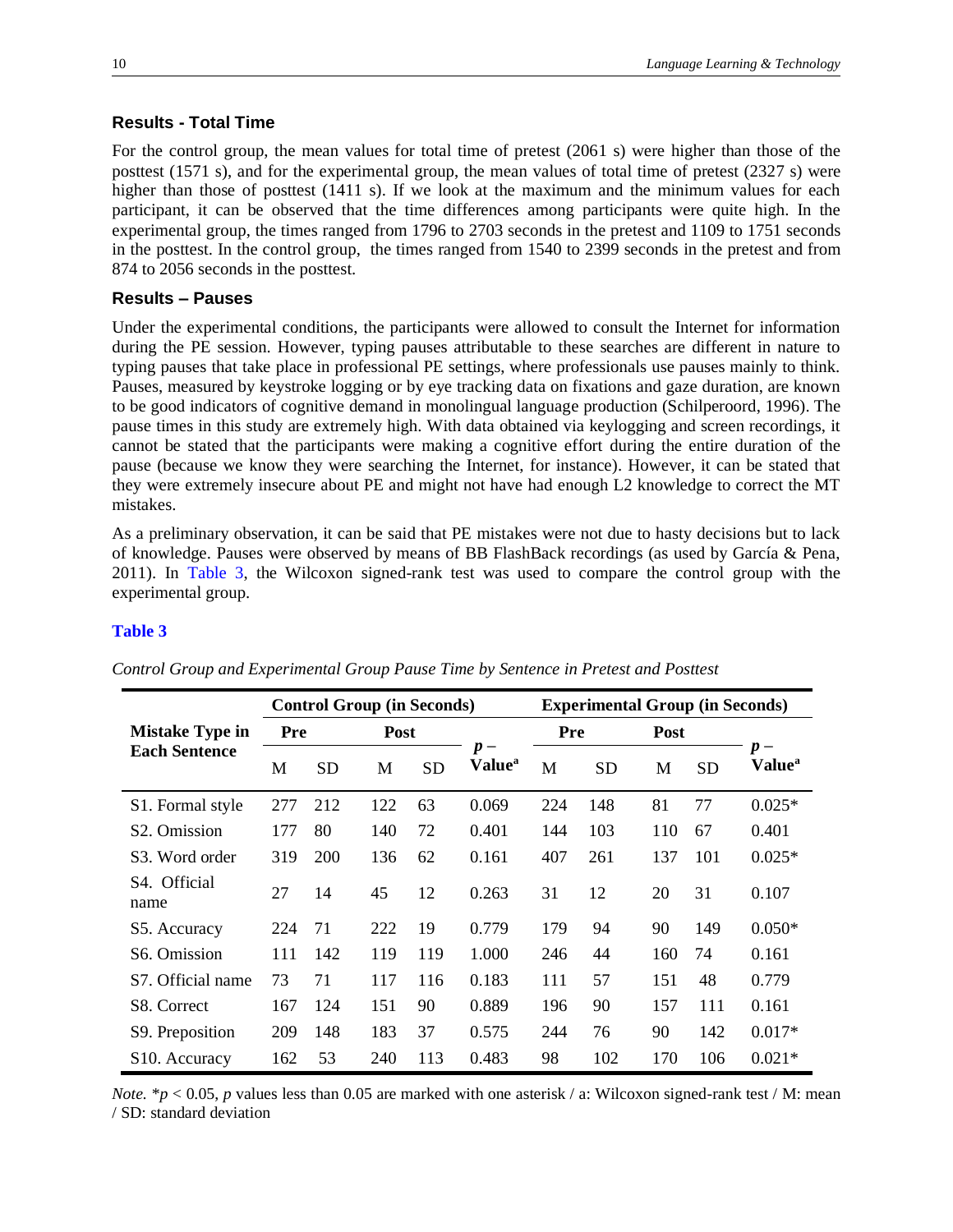## **Results - Total Time**

For the control group, the mean values for total time of pretest (2061 s) were higher than those of the posttest (1571 s), and for the experimental group, the mean values of total time of pretest (2327 s) were higher than those of posttest (1411 s). If we look at the maximum and the minimum values for each participant, it can be observed that the time differences among participants were quite high. In the experimental group, the times ranged from 1796 to 2703 seconds in the pretest and 1109 to 1751 seconds in the posttest. In the control group, the times ranged from 1540 to 2399 seconds in the pretest and from 874 to 2056 seconds in the posttest.

## <span id="page-9-0"></span>**Results – Pauses**

Under the experimental conditions, the participants were allowed to consult the Internet for information during the PE session. However, typing pauses attributable to these searches are different in nature to typing pauses that take place in professional PE settings, where professionals use pauses mainly to think. Pauses, measured by keystroke logging or by eye tracking data on fixations and gaze duration, are known to be good indicators of cognitive demand in monolingual language production (Schilperoord, 1996). The pause times in this study are extremely high. With data obtained via keylogging and screen recordings, it cannot be stated that the participants were making a cognitive effort during the entire duration of the pause (because we know they were searching the Internet, for instance). However, it can be stated that they were extremely insecure about PE and might not have had enough L2 knowledge to correct the MT mistakes.

As a preliminary observation, it can be said that PE mistakes were not due to hasty decisions but to lack of knowledge. Pauses were observed by means of BB FlashBack recordings (as used by García & Pena, 2011). In [Table](#page-9-1) 3, the Wilcoxon signed-rank test was used to compare the control group with the experimental group.

## <span id="page-9-1"></span>**[Table](#page-10-0) 3**

|                                                | <b>Control Group (in Seconds)</b> |           |             |           | <b>Experimental Group (in Seconds)</b> |     |           |             |           |                                    |
|------------------------------------------------|-----------------------------------|-----------|-------------|-----------|----------------------------------------|-----|-----------|-------------|-----------|------------------------------------|
| <b>Mistake Type in</b><br><b>Each Sentence</b> | <b>Pre</b>                        |           | <b>Post</b> |           |                                        | Pre |           | <b>Post</b> |           |                                    |
|                                                | M                                 | <b>SD</b> | M           | <b>SD</b> | $p -$<br><b>Value</b> <sup>a</sup>     | М   | <b>SD</b> | M           | <b>SD</b> | $p -$<br><b>Value</b> <sup>a</sup> |
| S1. Formal style                               | 277                               | 212       | 122         | 63        | 0.069                                  | 224 | 148       | 81          | 77        | $0.025*$                           |
| S <sub>2</sub> . Omission                      | 177                               | 80        | 140         | 72        | 0.401                                  | 144 | 103       | 110         | 67        | 0.401                              |
| S3. Word order                                 | 319                               | 200       | 136         | 62        | 0.161                                  | 407 | 261       | 137         | 101       | $0.025*$                           |
| S4. Official<br>name                           | 27                                | 14        | 45          | 12        | 0.263                                  | 31  | 12        | 20          | 31        | 0.107                              |
| S5. Accuracy                                   | 224                               | 71        | 222         | 19        | 0.779                                  | 179 | 94        | 90          | 149       | $0.050*$                           |
| S <sub>6</sub> . Omission                      | 111                               | 142       | 119         | 119       | 1.000                                  | 246 | 44        | 160         | 74        | 0.161                              |
| S7. Official name                              | 73                                | 71        | 117         | 116       | 0.183                                  | 111 | 57        | 151         | 48        | 0.779                              |
| S8. Correct                                    | 167                               | 124       | 151         | 90        | 0.889                                  | 196 | 90        | 157         | 111       | 0.161                              |
| S9. Preposition                                | 209                               | 148       | 183         | 37        | 0.575                                  | 244 | 76        | 90          | 142       | $0.017*$                           |
| S <sub>10</sub> . Accuracy                     | 162                               | 53        | 240         | 113       | 0.483                                  | 98  | 102       | 170         | 106       | $0.021*$                           |

*Control Group and Experimental Group Pause Time by Sentence in Pretest and Posttest*

*Note.*  $* p < 0.05$ , *p* values less than 0.05 are marked with one asterisk / a: Wilcoxon signed-rank test / M: mean / SD: standard deviation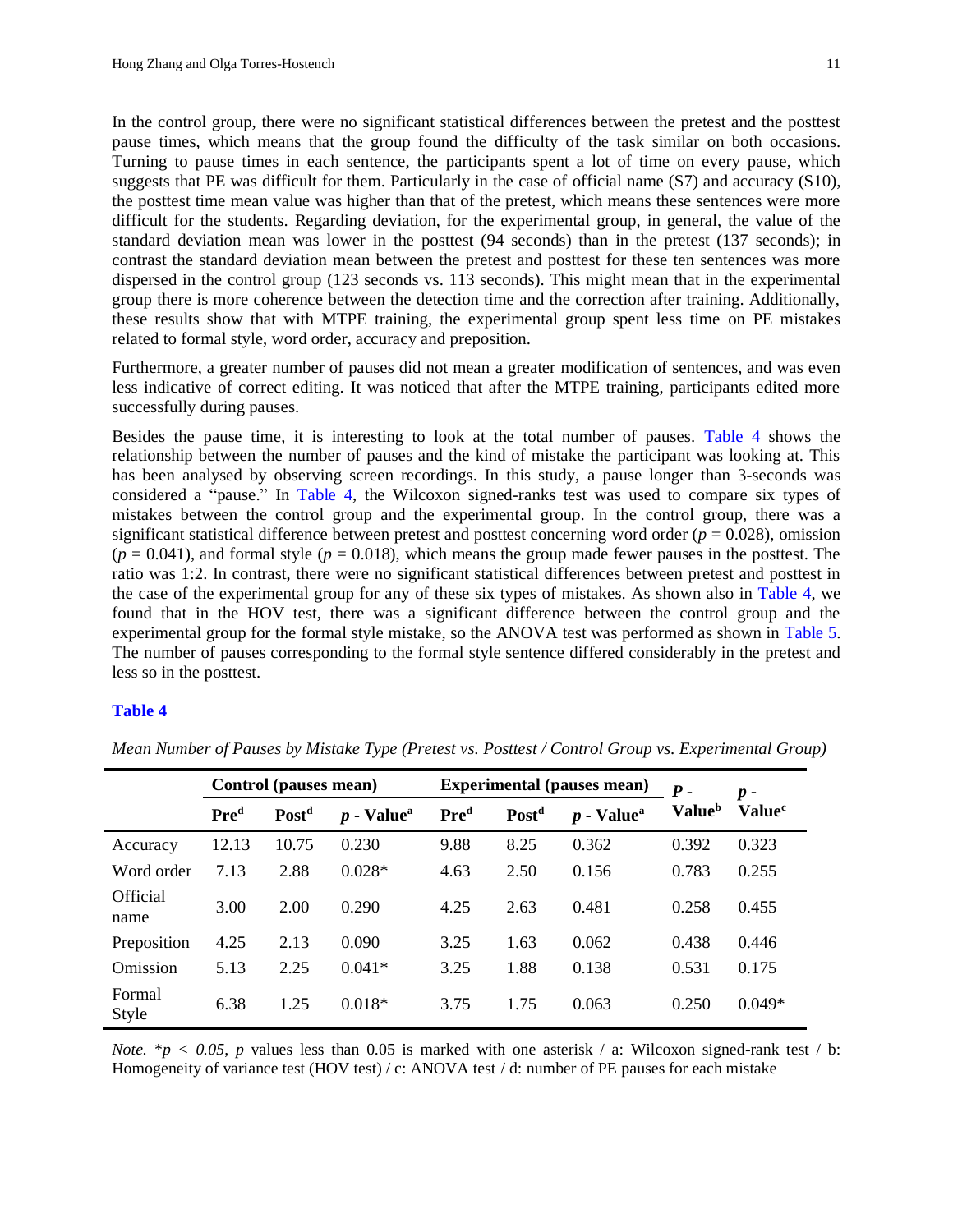<span id="page-10-0"></span>In the control group, there were no significant statistical differences between the pretest and the posttest pause times, which means that the group found the difficulty of the task similar on both occasions. Turning to pause times in each sentence, the participants spent a lot of time on every pause, which suggests that PE was difficult for them. Particularly in the case of official name (S7) and accuracy (S10), the posttest time mean value was higher than that of the pretest, which means these sentences were more difficult for the students. Regarding deviation, for the experimental group, in general, the value of the standard deviation mean was lower in the posttest (94 seconds) than in the pretest (137 seconds); in contrast the standard deviation mean between the pretest and posttest for these ten sentences was more dispersed in the control group (123 seconds vs. 113 seconds). This might mean that in the experimental group there is more coherence between the detection time and the correction after training. Additionally, these results show that with MTPE training, the experimental group spent less time on PE mistakes related to formal style, word order, accuracy and preposition.

Furthermore, a greater number of pauses did not mean a greater modification of sentences, and was even less indicative of correct editing. It was noticed that after the MTPE training, participants edited more successfully during pauses.

<span id="page-10-2"></span>Besides the pause time, it is interesting to look at the total number of pauses. [Table](#page-10-1) 4 shows the relationship between the number of pauses and the kind of mistake the participant was looking at. This has been analysed by observing screen recordings. In this study, a pause longer than 3-seconds was considered a "pause." In [Table](#page-10-1) 4, the Wilcoxon signed-ranks test was used to compare six types of mistakes between the control group and the experimental group. In the control group, there was a significant statistical difference between pretest and posttest concerning word order ( $p = 0.028$ ), omission  $(p = 0.041)$ , and formal style  $(p = 0.018)$ , which means the group made fewer pauses in the posttest. The ratio was 1:2. In contrast, there were no significant statistical differences between pretest and posttest in the case of the experimental group for any of these six types of mistakes. As shown also in [Table](#page-10-1) 4, we found that in the HOV test, there was a significant difference between the control group and the experimental group for the formal style mistake, so the ANOVA test was performed as shown in [Table](#page-11-0) 5. The number of pauses corresponding to the formal style sentence differed considerably in the pretest and less so in the posttest.

#### <span id="page-10-3"></span><span id="page-10-1"></span>**[Table](#page-10-2) 4**

|                         | Control (pauses mean) |                   |                          | <b>Experimental (pauses mean)</b> |                   |                          | $p -$                     |                    |
|-------------------------|-----------------------|-------------------|--------------------------|-----------------------------------|-------------------|--------------------------|---------------------------|--------------------|
|                         | Pre <sup>d</sup>      | Post <sup>d</sup> | $p$ - Value <sup>a</sup> | Pre <sup>d</sup>                  | Post <sup>d</sup> | $p$ - Value <sup>a</sup> | <b>Value</b> <sup>b</sup> | Value <sup>c</sup> |
| Accuracy                | 12.13                 | 10.75             | 0.230                    | 9.88                              | 8.25              | 0.362                    | 0.392                     | 0.323              |
| Word order              | 7.13                  | 2.88              | $0.028*$                 | 4.63                              | 2.50              | 0.156                    | 0.783                     | 0.255              |
| <b>Official</b><br>name | 3.00                  | 2.00              | 0.290                    | 4.25                              | 2.63              | 0.481                    | 0.258                     | 0.455              |
| Preposition             | 4.25                  | 2.13              | 0.090                    | 3.25                              | 1.63              | 0.062                    | 0.438                     | 0.446              |
| Omission                | 5.13                  | 2.25              | $0.041*$                 | 3.25                              | 1.88              | 0.138                    | 0.531                     | 0.175              |
| Formal<br>Style         | 6.38                  | 1.25              | $0.018*$                 | 3.75                              | 1.75              | 0.063                    | 0.250                     | $0.049*$           |

*Mean Number of Pauses by Mistake Type (Pretest vs. Posttest / Control Group vs. Experimental Group)*

*Note.*  $* p < 0.05$ , *p* values less than 0.05 is marked with one asterisk / a: Wilcoxon signed-rank test / b: Homogeneity of variance test (HOV test) / c: ANOVA test / d: number of PE pauses for each mistake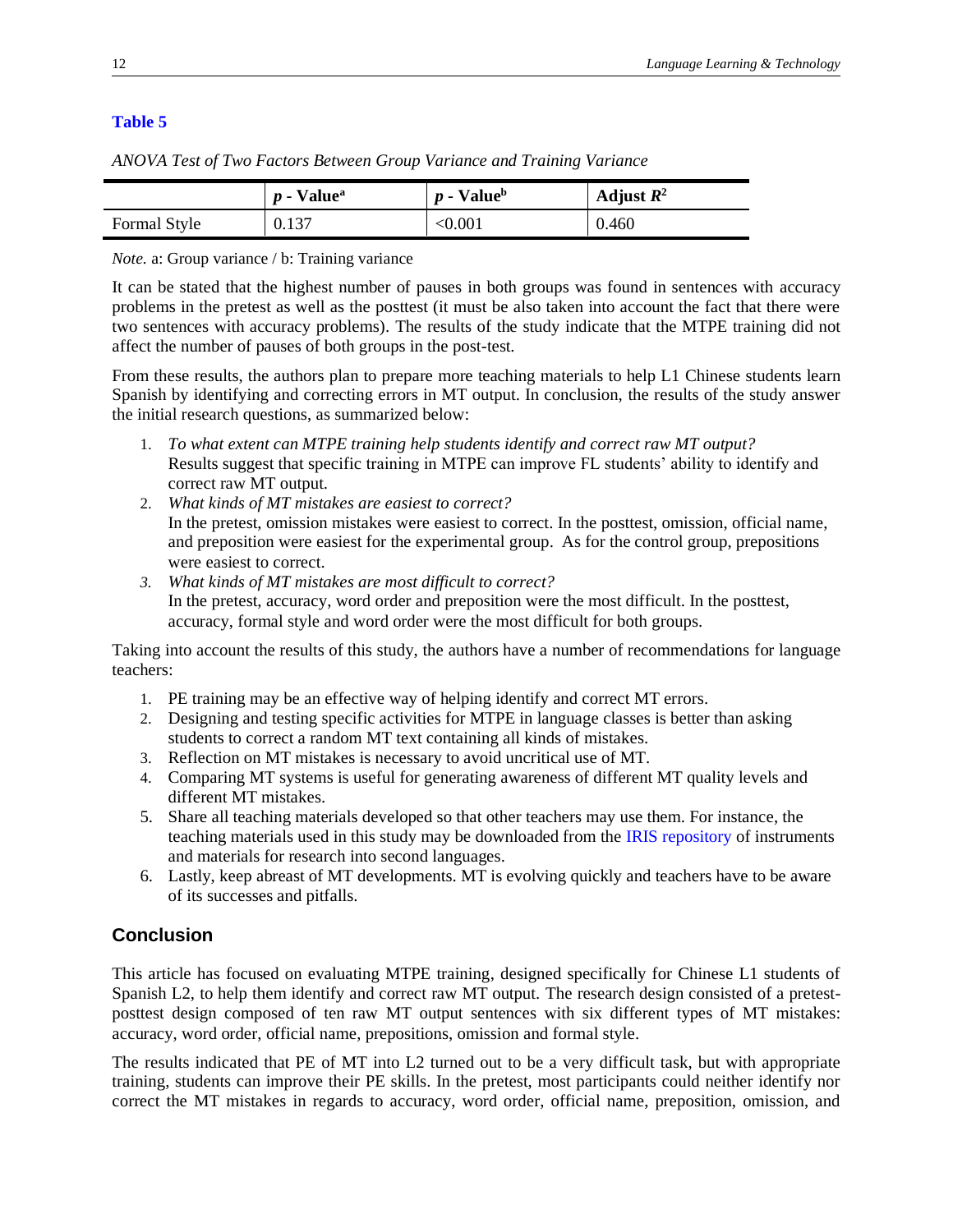## <span id="page-11-0"></span>**[Table](#page-10-3) 5**

|              | $p$ - Value <sup>a</sup> | $p$ - Value <sup>b</sup> | Adjust $R^2$ |
|--------------|--------------------------|--------------------------|--------------|
| Formal Style | 0.137                    | $< \!\! 0.001$           | 0.460        |

*ANOVA Test of Two Factors Between Group Variance and Training Variance* 

*Note.* a: Group variance / b: Training variance

It can be stated that the highest number of pauses in both groups was found in sentences with accuracy problems in the pretest as well as the posttest (it must be also taken into account the fact that there were two sentences with accuracy problems). The results of the study indicate that the MTPE training did not affect the number of pauses of both groups in the post-test.

From these results, the authors plan to prepare more teaching materials to help L1 Chinese students learn Spanish by identifying and correcting errors in MT output. In conclusion, the results of the study answer the initial research questions, as summarized below:

- 1. *To what extent can MTPE training help students identify and correct raw MT output?* Results suggest that specific training in MTPE can improve FL students' ability to identify and correct raw MT output.
- 2. *What kinds of MT mistakes are easiest to correct?*  In the pretest, omission mistakes were easiest to correct. In the posttest, omission, official name, and preposition were easiest for the experimental group. As for the control group, prepositions were easiest to correct.
- *3. What kinds of MT mistakes are most difficult to correct?*  In the pretest, accuracy, word order and preposition were the most difficult. In the posttest, accuracy, formal style and word order were the most difficult for both groups.

Taking into account the results of this study, the authors have a number of recommendations for language teachers:

- 1. PE training may be an effective way of helping identify and correct MT errors.
- 2. Designing and testing specific activities for MTPE in language classes is better than asking students to correct a random MT text containing all kinds of mistakes.
- 3. Reflection on MT mistakes is necessary to avoid uncritical use of MT.
- 4. Comparing MT systems is useful for generating awareness of different MT quality levels and different MT mistakes.
- 5. Share all teaching materials developed so that other teachers may use them. For instance, the teaching materials used in this study may be downloaded from the [IRIS repository](https://www.iris-database.org/iris/app/home/search?query=Hong+Zhang&facet.iris.hasmaterials=Records+with+materials) of instruments and materials for research into second languages.
- 6. Lastly, keep abreast of MT developments. MT is evolving quickly and teachers have to be aware of its successes and pitfalls.

# **Conclusion**

This article has focused on evaluating MTPE training, designed specifically for Chinese L1 students of Spanish L2, to help them identify and correct raw MT output. The research design consisted of a pretestposttest design composed of ten raw MT output sentences with six different types of MT mistakes: accuracy, word order, official name, prepositions, omission and formal style.

The results indicated that PE of MT into L2 turned out to be a very difficult task, but with appropriate training, students can improve their PE skills. In the pretest, most participants could neither identify nor correct the MT mistakes in regards to accuracy, word order, official name, preposition, omission, and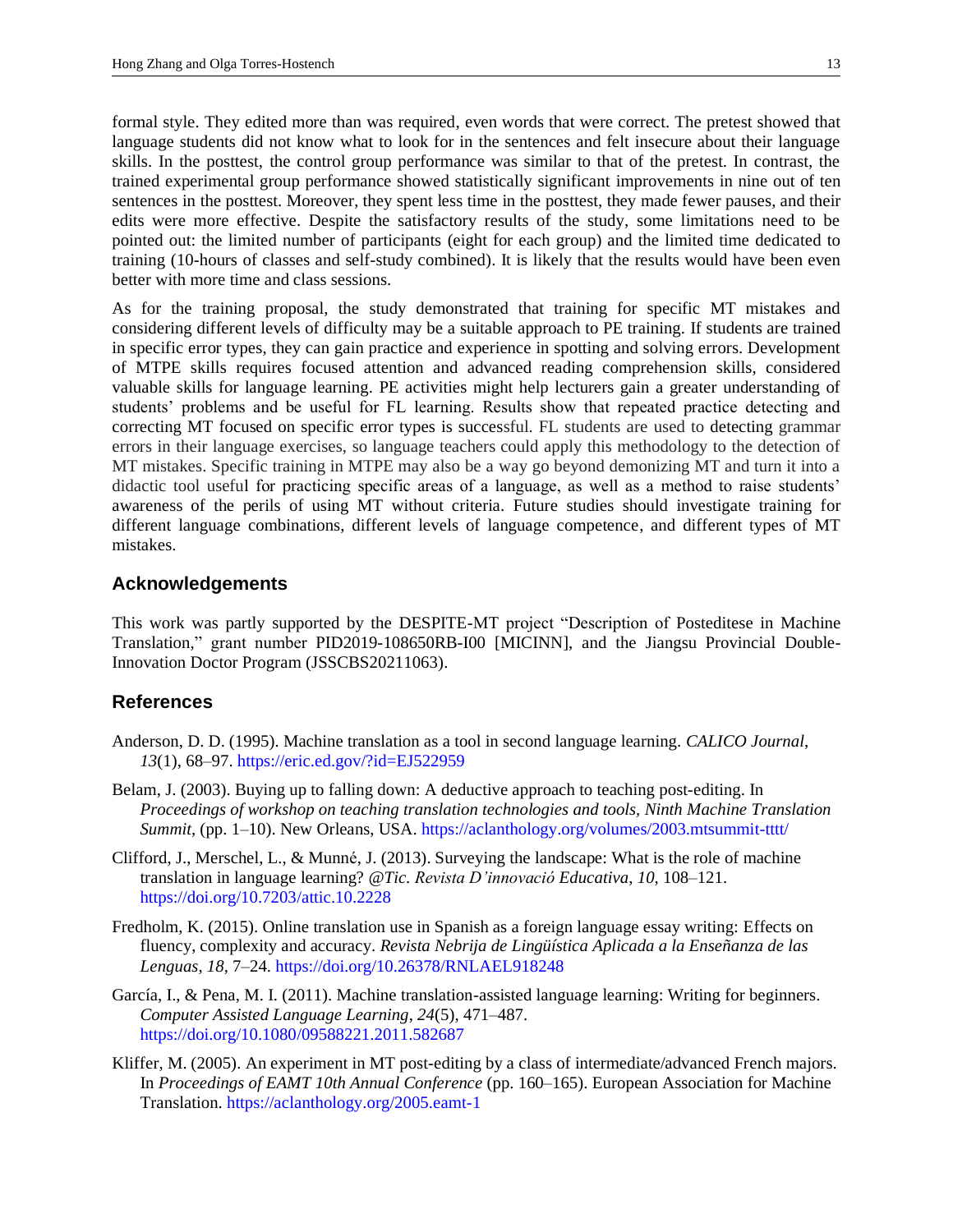formal style. They edited more than was required, even words that were correct. The pretest showed that language students did not know what to look for in the sentences and felt insecure about their language skills. In the posttest, the control group performance was similar to that of the pretest. In contrast, the trained experimental group performance showed statistically significant improvements in nine out of ten sentences in the posttest. Moreover, they spent less time in the posttest, they made fewer pauses, and their edits were more effective. Despite the satisfactory results of the study, some limitations need to be pointed out: the limited number of participants (eight for each group) and the limited time dedicated to training (10-hours of classes and self-study combined). It is likely that the results would have been even better with more time and class sessions.

As for the training proposal, the study demonstrated that training for specific MT mistakes and considering different levels of difficulty may be a suitable approach to PE training. If students are trained in specific error types, they can gain practice and experience in spotting and solving errors. Development of MTPE skills requires focused attention and advanced reading comprehension skills, considered valuable skills for language learning. PE activities might help lecturers gain a greater understanding of students' problems and be useful for FL learning. Results show that repeated practice detecting and correcting MT focused on specific error types is successful. FL students are used to detecting grammar errors in their language exercises, so language teachers could apply this methodology to the detection of MT mistakes. Specific training in MTPE may also be a way go beyond demonizing MT and turn it into a didactic tool useful for practicing specific areas of a language, as well as a method to raise students' awareness of the perils of using MT without criteria. Future studies should investigate training for different language combinations, different levels of language competence, and different types of MT mistakes.

#### **Acknowledgements**

This work was partly supported by the DESPITE-MT project "Description of Posteditese in Machine Translation," grant number PID2019-108650RB-I00 [MICINN], and the Jiangsu Provincial Double-Innovation Doctor Program (JSSCBS20211063).

#### **References**

- Anderson, D. D. (1995). Machine translation as a tool in second language learning. *CALICO Journal*, *13*(1), 68–97. <https://eric.ed.gov/?id=EJ522959>
- Belam, J. (2003). Buying up to falling down: A deductive approach to teaching post-editing. In *Proceedings of workshop on teaching translation technologies and tools, Ninth Machine Translation Summit*, (pp. 1–10). New Orleans, USA. <https://aclanthology.org/volumes/2003.mtsummit-tttt/>
- Clifford, J., Merschel, L., & Munné, J. (2013). Surveying the landscape: What is the role of machine translation in language learning? *@Tic. Revista D'innovació Educativa*, *10*, 108–121. <https://doi.org/10.7203/attic.10.2228>
- Fredholm, K. (2015). Online translation use in Spanish as a foreign language essay writing: Effects on fluency, complexity and accuracy. *Revista Nebrija de Lingüística Aplicada a la Enseñanza de las Lenguas*, *18*, 7–24.<https://doi.org/10.26378/RNLAEL918248>
- García, I., & Pena, M. I. (2011). Machine translation-assisted language learning: Writing for beginners. *Computer Assisted Language Learning*, *24*(5), 471–487. <https://doi.org/10.1080/09588221.2011.582687>
- Kliffer, M. (2005). An experiment in MT post-editing by a class of intermediate/advanced French majors. In *Proceedings of EAMT 10th Annual Conference* (pp. 160–165). European Association for Machine Translation[. https://aclanthology.org/2005.eamt-1](https://aclanthology.org/2005.eamt-1)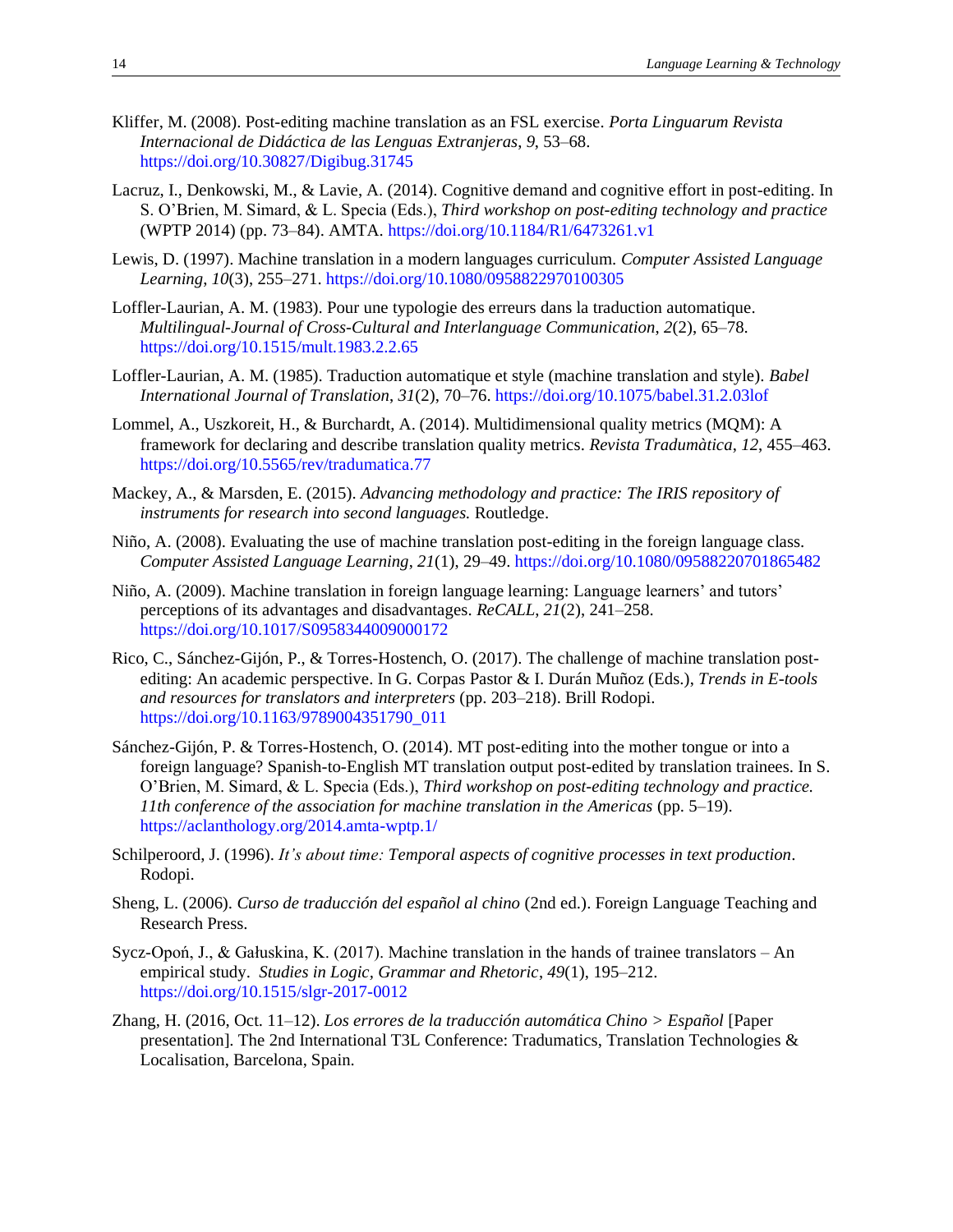- Kliffer, M. (2008). Post-editing machine translation as an FSL exercise. *Porta Linguarum Revista Internacional de Didáctica de las Lenguas Extranjeras*, *9*, 53–68. <https://doi.org/10.30827/Digibug.31745>
- Lacruz, I., Denkowski, M., & Lavie, A. (2014). Cognitive demand and cognitive effort in post-editing. In S. O'Brien, M. Simard, & L. Specia (Eds.), *Third workshop on post-editing technology and practice* (WPTP 2014) (pp. 73–84). AMTA. <https://doi.org/10.1184/R1/6473261.v1>
- Lewis, D. (1997). Machine translation in a modern languages curriculum. *Computer Assisted Language Learning*, *10*(3), 255–271. <https://doi.org/10.1080/0958822970100305>
- Loffler-Laurian, A. M. (1983). Pour une typologie des erreurs dans la traduction automatique. *Multilingual-Journal of Cross-Cultural and Interlanguage Communication*, *2*(2), 65–78. <https://doi.org/10.1515/mult.1983.2.2.65>
- Loffler-Laurian, A. M. (1985). Traduction automatique et style (machine translation and style). *Babel International Journal of Translation*, *31*(2), 70–76. <https://doi.org/10.1075/babel.31.2.03lof>
- Lommel, A., Uszkoreit, H., & Burchardt, A. (2014). Multidimensional quality metrics (MQM): A framework for declaring and describe translation quality metrics. *Revista Tradumàtica*, *12*, 455–463. <https://doi.org/10.5565/rev/tradumatica.77>
- Mackey, A., & Marsden, E. (2015). *Advancing methodology and practice: The IRIS repository of instruments for research into second languages.* Routledge.
- Niño, A. (2008). Evaluating the use of machine translation post-editing in the foreign language class. *Computer Assisted Language Learning*, *21*(1), 29–49. <https://doi.org/10.1080/09588220701865482>
- Niño, A. (2009). Machine translation in foreign language learning: Language learners' and tutors' perceptions of its advantages and disadvantages. *ReCALL*, *21*(2), 241–258. <https://doi.org/10.1017/S0958344009000172>
- Rico, C., Sánchez-Gijón, P., & Torres-Hostench, O. (2017). The challenge of machine translation postediting: An academic perspective. In G. Corpas Pastor & I. Durán Muñoz (Eds.), *Trends in E-tools and resources for translators and interpreters* (pp. 203–218). Brill Rodopi. [https://doi.org/10.1163/9789004351790\\_011](https://doi.org/10.1163/9789004351790_011)
- Sánchez-Gijón, P. & Torres-Hostench, O. (2014). MT post-editing into the mother tongue or into a foreign language? Spanish-to-English MT translation output post-edited by translation trainees. In S. O'Brien, M. Simard, & L. Specia (Eds.), *Third workshop on post-editing technology and practice. 11th conference of the association for machine translation in the Americas* (pp. 5–19). <https://aclanthology.org/2014.amta-wptp.1/>
- Schilperoord, J. (1996). *It's about time: Temporal aspects of cognitive processes in text production*. Rodopi.
- Sheng, L. (2006). *Curso de traducción del español al chino* (2nd ed.). Foreign Language Teaching and Research Press.
- Sycz-Opoń, J., & Gałuskina, K. (2017). Machine translation in the hands of trainee translators An empirical study. *Studies in Logic, Grammar and Rhetoric*, *49*(1), 195–212. <https://doi.org/10.1515/slgr-2017-0012>
- Zhang, H. (2016, Oct. 11–12). *Los errores de la traducción automática Chino > Español* [Paper presentation]. The 2nd International T3L Conference: Tradumatics, Translation Technologies & Localisation, Barcelona, Spain.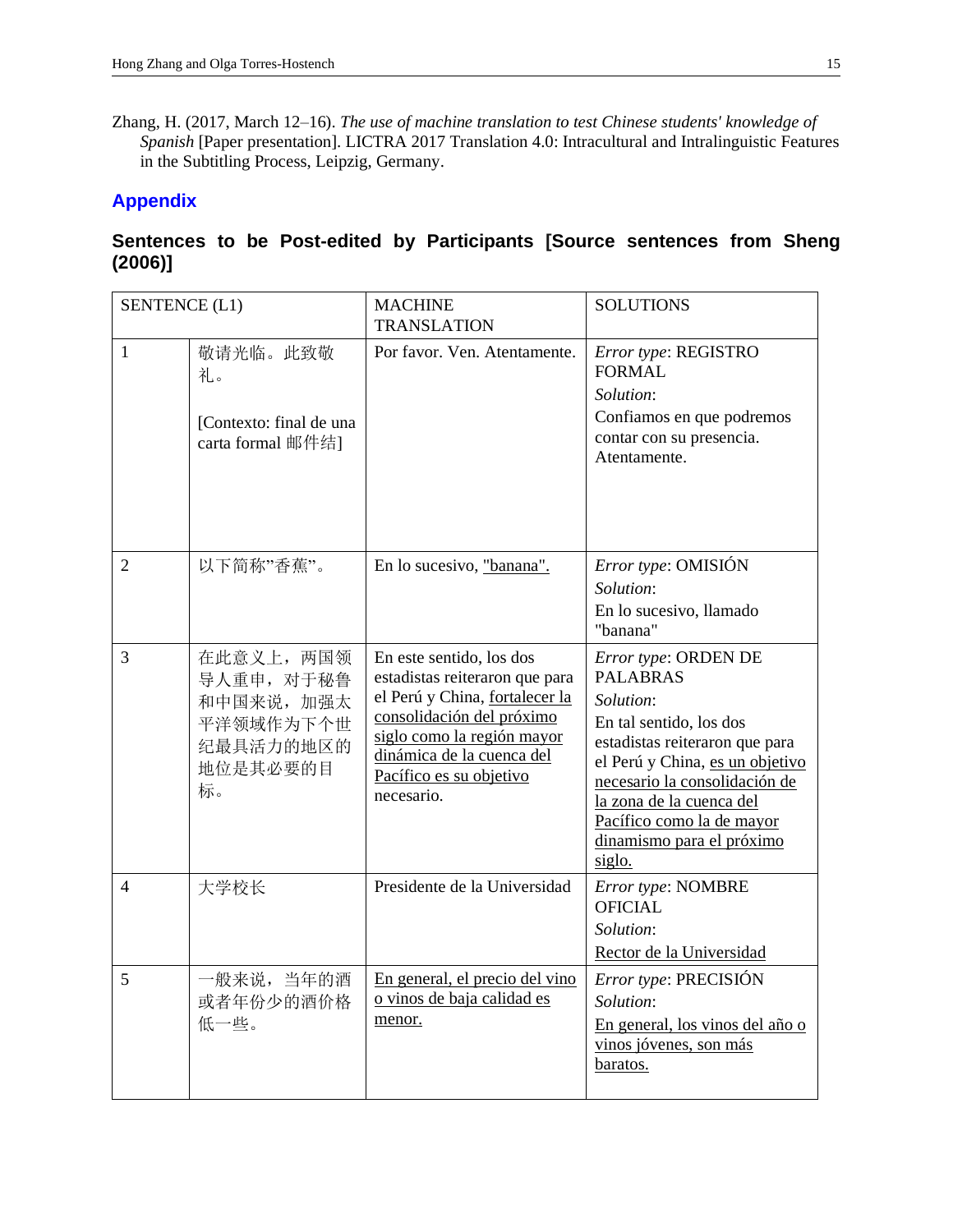Zhang, H. (2017, March 12–16). *The use of machine translation to test Chinese students' knowledge of Spanish* [Paper presentation]. LICTRA 2017 Translation 4.0: Intracultural and Intralinguistic Features in the Subtitling Process, Leipzig, Germany.

## <span id="page-14-0"></span>**[Appendix](#page-2-0)**

# **Sentences to be Post-edited by Participants [Source sentences from Sheng (2006)]**

| <b>SENTENCE (L1)</b> |                                                                                    | <b>MACHINE</b><br><b>TRANSLATION</b>                                                                                                                                                                                          | <b>SOLUTIONS</b>                                                                                                                                                                                                                                                                             |
|----------------------|------------------------------------------------------------------------------------|-------------------------------------------------------------------------------------------------------------------------------------------------------------------------------------------------------------------------------|----------------------------------------------------------------------------------------------------------------------------------------------------------------------------------------------------------------------------------------------------------------------------------------------|
| $\mathbf{1}$         | 敬请光临。此致敬<br>礼。<br>[Contexto: final de una<br>carta formal 邮件结1                     | Por favor. Ven. Atentamente.                                                                                                                                                                                                  | Error type: REGISTRO<br><b>FORMAL</b><br>Solution:<br>Confiamos en que podremos<br>contar con su presencia.<br>Atentamente.                                                                                                                                                                  |
| $\overline{2}$       | 以下简称"香蕉"。                                                                          | En lo sucesivo, "banana".                                                                                                                                                                                                     | <i>Error type:</i> OMISIÓN<br>Solution:<br>En lo sucesivo, llamado<br>"banana"                                                                                                                                                                                                               |
| 3                    | 在此意义上, 两国领<br>导人重申, 对于秘鲁<br>和中国来说, 加强太<br>平洋领域作为下个世<br>纪最具活力的地区的<br>地位是其必要的目<br>标。 | En este sentido, los dos<br>estadistas reiteraron que para<br>el Perú y China, fortalecer la<br>consolidación del próximo<br>siglo como la región mayor<br>dinámica de la cuenca del<br>Pacífico es su objetivo<br>necesario. | Error type: ORDEN DE<br><b>PALABRAS</b><br><i>Solution:</i><br>En tal sentido, los dos<br>estadistas reiteraron que para<br>el Perú y China, es un objetivo<br>necesario la consolidación de<br>la zona de la cuenca del<br>Pacífico como la de mayor<br>dinamismo para el próximo<br>siglo. |
| 4                    | 大学校长                                                                               | Presidente de la Universidad                                                                                                                                                                                                  | Error type: NOMBRE<br><b>OFICIAL</b><br>Solution:<br>Rector de la Universidad                                                                                                                                                                                                                |
| 5                    | 一般来说, 当年的酒<br>或者年份少的酒价格<br>低一些。                                                    | En general, el precio del vino<br>o vinos de baja calidad es<br>menor.                                                                                                                                                        | Error type: PRECISIÓN<br>Solution:<br>En general, los vinos del año o<br>vinos jóvenes, son más<br>baratos.                                                                                                                                                                                  |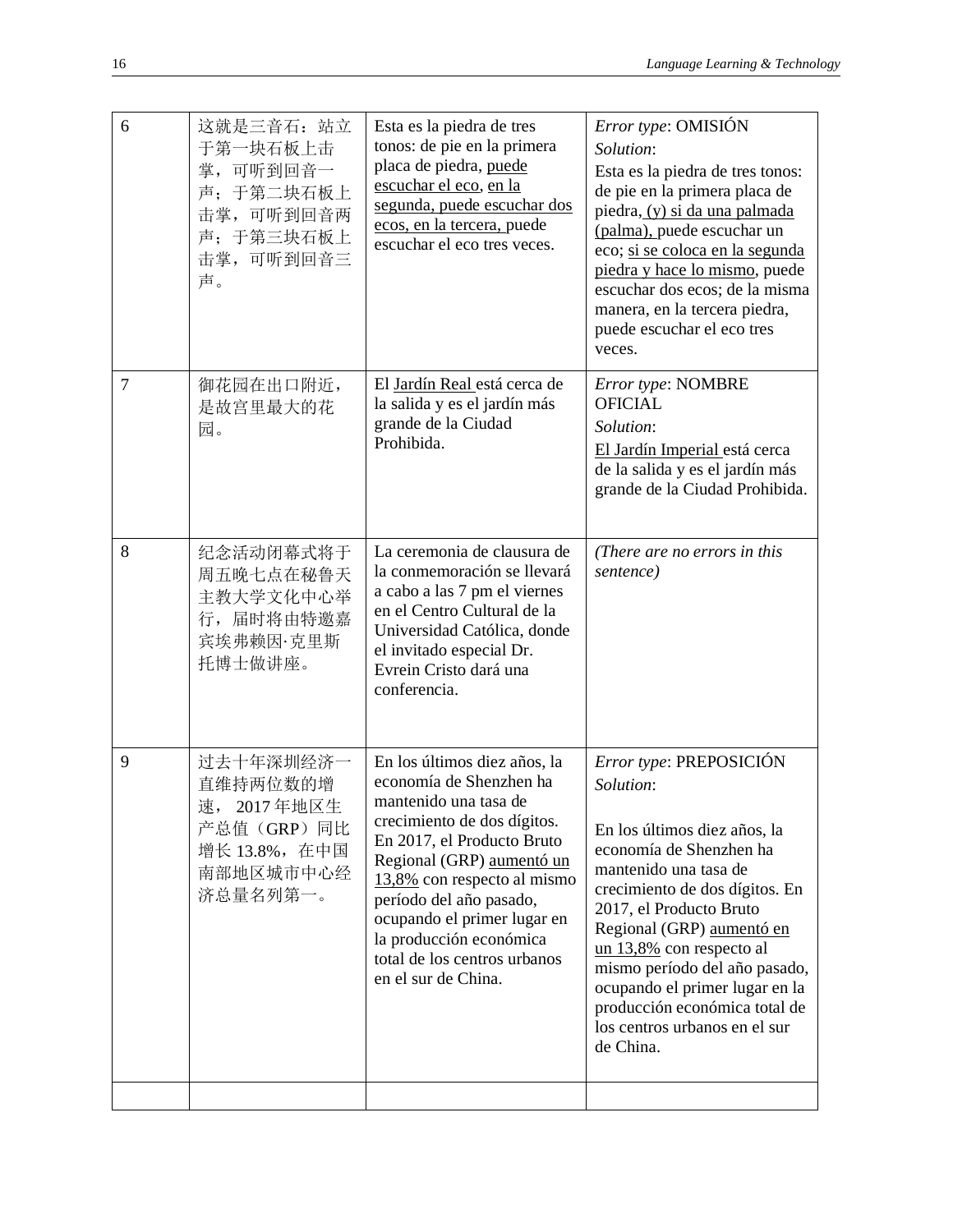| 6 | 这就是三音石: 站立<br>于第一块石板上击<br>掌,可听到回音一<br>声;于第二块石板上<br>击掌,可听到回音两<br>声;于第三块石板上<br>击掌, 可听到回音三<br>声。  | Esta es la piedra de tres<br>tonos: de pie en la primera<br>placa de piedra, puede<br>escuchar el eco, en la<br>segunda, puede escuchar dos<br>ecos, en la tercera, puede<br>escuchar el eco tres veces.                                                                                                                                              | <i>Error type:</i> OMISIÓN<br>Solution:<br>Esta es la piedra de tres tonos:<br>de pie en la primera placa de<br>piedra, (y) si da una palmada<br>(palma), puede escuchar un<br>eco; si se coloca en la segunda<br>piedra y hace lo mismo, puede<br>escuchar dos ecos; de la misma<br>manera, en la tercera piedra,<br>puede escuchar el eco tres<br>veces.                                          |
|---|------------------------------------------------------------------------------------------------|-------------------------------------------------------------------------------------------------------------------------------------------------------------------------------------------------------------------------------------------------------------------------------------------------------------------------------------------------------|-----------------------------------------------------------------------------------------------------------------------------------------------------------------------------------------------------------------------------------------------------------------------------------------------------------------------------------------------------------------------------------------------------|
| 7 | 御花园在出口附近,<br>是故宫里最大的花<br>园。                                                                    | El Jardín Real está cerca de<br>la salida y es el jardín más<br>grande de la Ciudad<br>Prohibida.                                                                                                                                                                                                                                                     | Error type: NOMBRE<br><b>OFICIAL</b><br>Solution:<br>El Jardín Imperial está cerca<br>de la salida y es el jardín más<br>grande de la Ciudad Prohibida.                                                                                                                                                                                                                                             |
| 8 | 纪念活动闭幕式将于<br>周五晚七点在秘鲁天<br>主教大学文化中心举<br>行, 届时将由特邀嘉<br>宾埃弗赖因·克里斯<br>托博士做讲座。                      | La ceremonia de clausura de<br>la conmemoración se llevará<br>a cabo a las 7 pm el viernes<br>en el Centro Cultural de la<br>Universidad Católica, donde<br>el invitado especial Dr.<br>Evrein Cristo dará una<br>conferencia.                                                                                                                        | (There are no errors in this<br>sentence)                                                                                                                                                                                                                                                                                                                                                           |
| 9 | 过去十年深圳经济一<br>直维持两位数的增<br>速, 2017年地区生<br>产总值 (GRP) 同比<br>增长 13.8%, 在中国<br>南部地区城市中心经<br>济总量名列第一。 | En los últimos diez años, la<br>economía de Shenzhen ha<br>mantenido una tasa de<br>crecimiento de dos dígitos.<br>En 2017, el Producto Bruto<br>Regional (GRP) aumentó un<br>13,8% con respecto al mismo<br>período del año pasado,<br>ocupando el primer lugar en<br>la producción económica<br>total de los centros urbanos<br>en el sur de China. | Error type: PREPOSICIÓN<br>Solution:<br>En los últimos diez años, la<br>economía de Shenzhen ha<br>mantenido una tasa de<br>crecimiento de dos dígitos. En<br>2017, el Producto Bruto<br>Regional (GRP) aumentó en<br>un $13,8\%$ con respecto al<br>mismo período del año pasado,<br>ocupando el primer lugar en la<br>producción económica total de<br>los centros urbanos en el sur<br>de China. |
|   |                                                                                                |                                                                                                                                                                                                                                                                                                                                                       |                                                                                                                                                                                                                                                                                                                                                                                                     |